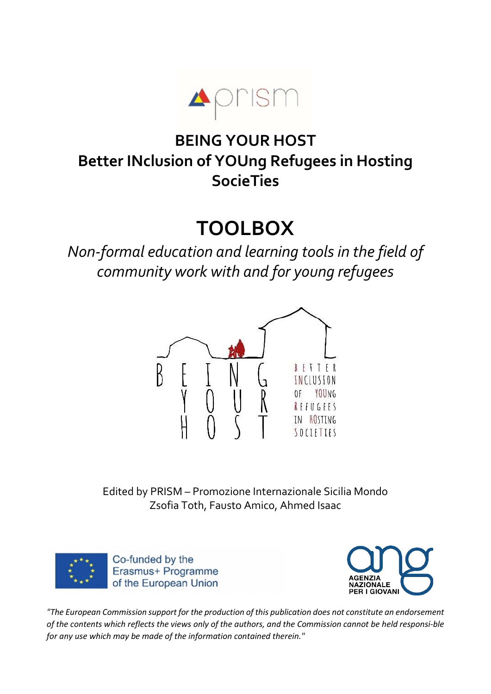

# BEING YOUR HOST Better INclusion of YOUng Refugees in Hosting **SocieTies**

# TOOLBOX

Non-formal education and learning tools in the field of community work with and for young refugees



Edited by PRISM – Promozione Internazionale Sicilia Mondo Zsofia Toth, Fausto Amico, Ahmed Isaac





"The European Commission support for the production of this publication does not constitute an endorsement of the contents which reflects the views only of the authors, and the Commission cannot be held responsible for any use which may be made of the information contained therein."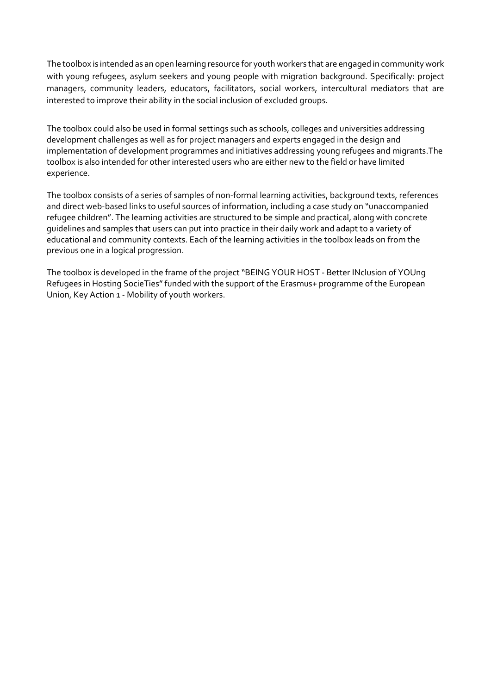The toolbox is intended as an open learning resource for youth workers that are engaged in community work with young refugees, asylum seekers and young people with migration background. Specifically: project managers, community leaders, educators, facilitators, social workers, intercultural mediators that are interested to improve their ability in the social inclusion of excluded groups.

The toolbox could also be used in formal settings such as schools, colleges and universities addressing development challenges as well as for project managers and experts engaged in the design and implementation of development programmes and initiatives addressing young refugees and migrants.The toolbox is also intended for other interested users who are either new to the field or have limited experience.

The toolbox consists of a series of samples of non-formal learning activities, background texts, references and direct web-based links to useful sources of information, including a case study on "unaccompanied refugee children". The learning activities are structured to be simple and practical, along with concrete guidelines and samples that users can put into practice in their daily work and adapt to a variety of educational and community contexts. Each of the learning activities in the toolbox leads on from the previous one in a logical progression.

The toolbox is developed in the frame of the project "BEING YOUR HOST - Better INclusion of YOUng Refugees in Hosting SocieTies" funded with the support of the Erasmus+ programme of the European Union, Key Action 1 - Mobility of youth workers.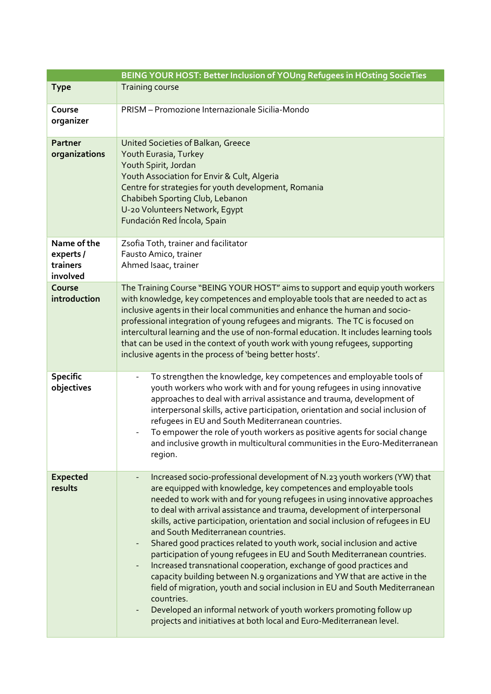|                                                  | BEING YOUR HOST: Better Inclusion of YOUng Refugees in HOsting SocieTies                                                                                                                                                                                                                                                                                                                                                                                                                                                                                                                                                                                                                                                                                                                                                                                                                                                                                                                 |
|--------------------------------------------------|------------------------------------------------------------------------------------------------------------------------------------------------------------------------------------------------------------------------------------------------------------------------------------------------------------------------------------------------------------------------------------------------------------------------------------------------------------------------------------------------------------------------------------------------------------------------------------------------------------------------------------------------------------------------------------------------------------------------------------------------------------------------------------------------------------------------------------------------------------------------------------------------------------------------------------------------------------------------------------------|
| <b>Type</b>                                      | <b>Training course</b>                                                                                                                                                                                                                                                                                                                                                                                                                                                                                                                                                                                                                                                                                                                                                                                                                                                                                                                                                                   |
| Course<br>organizer                              | PRISM - Promozione Internazionale Sicilia-Mondo                                                                                                                                                                                                                                                                                                                                                                                                                                                                                                                                                                                                                                                                                                                                                                                                                                                                                                                                          |
| <b>Partner</b><br>organizations                  | United Societies of Balkan, Greece<br>Youth Eurasia, Turkey<br>Youth Spirit, Jordan<br>Youth Association for Envir & Cult, Algeria<br>Centre for strategies for youth development, Romania<br>Chabibeh Sporting Club, Lebanon<br>U-20 Volunteers Network, Egypt<br>Fundación Red Íncola, Spain                                                                                                                                                                                                                                                                                                                                                                                                                                                                                                                                                                                                                                                                                           |
| Name of the<br>experts /<br>trainers<br>involved | Zsofia Toth, trainer and facilitator<br>Fausto Amico, trainer<br>Ahmed Isaac, trainer                                                                                                                                                                                                                                                                                                                                                                                                                                                                                                                                                                                                                                                                                                                                                                                                                                                                                                    |
| Course<br>introduction                           | The Training Course "BEING YOUR HOST" aims to support and equip youth workers<br>with knowledge, key competences and employable tools that are needed to act as<br>inclusive agents in their local communities and enhance the human and socio-<br>professional integration of young refugees and migrants. The TC is focused on<br>intercultural learning and the use of non-formal education. It includes learning tools<br>that can be used in the context of youth work with young refugees, supporting<br>inclusive agents in the process of 'being better hosts'.                                                                                                                                                                                                                                                                                                                                                                                                                  |
| <b>Specific</b><br>objectives                    | To strengthen the knowledge, key competences and employable tools of<br>youth workers who work with and for young refugees in using innovative<br>approaches to deal with arrival assistance and trauma, development of<br>interpersonal skills, active participation, orientation and social inclusion of<br>refugees in EU and South Mediterranean countries.<br>To empower the role of youth workers as positive agents for social change<br>and inclusive growth in multicultural communities in the Euro-Mediterranean<br>region.                                                                                                                                                                                                                                                                                                                                                                                                                                                   |
| <b>Expected</b><br>results                       | Increased socio-professional development of N.23 youth workers (YW) that<br>are equipped with knowledge, key competences and employable tools<br>needed to work with and for young refugees in using innovative approaches<br>to deal with arrival assistance and trauma, development of interpersonal<br>skills, active participation, orientation and social inclusion of refugees in EU<br>and South Mediterranean countries.<br>Shared good practices related to youth work, social inclusion and active<br>participation of young refugees in EU and South Mediterranean countries.<br>Increased transnational cooperation, exchange of good practices and<br>capacity building between N.9 organizations and YW that are active in the<br>field of migration, youth and social inclusion in EU and South Mediterranean<br>countries.<br>Developed an informal network of youth workers promoting follow up<br>projects and initiatives at both local and Euro-Mediterranean level. |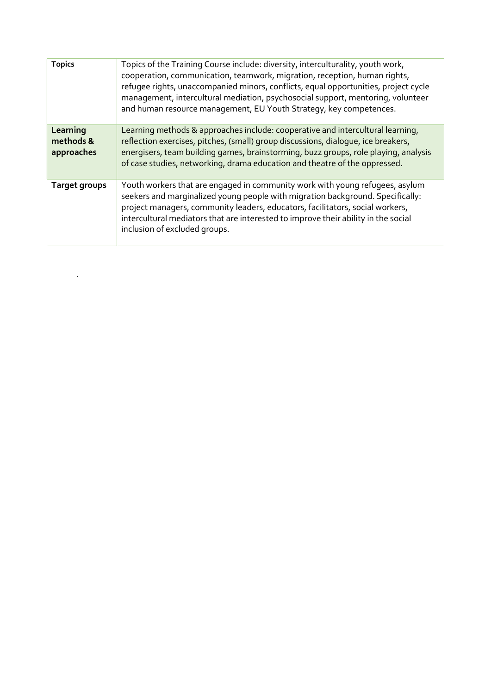| <b>Topics</b>                       | Topics of the Training Course include: diversity, interculturality, youth work,<br>cooperation, communication, teamwork, migration, reception, human rights,<br>refugee rights, unaccompanied minors, conflicts, equal opportunities, project cycle<br>management, intercultural mediation, psychosocial support, mentoring, volunteer<br>and human resource management, EU Youth Strategy, key competences. |
|-------------------------------------|--------------------------------------------------------------------------------------------------------------------------------------------------------------------------------------------------------------------------------------------------------------------------------------------------------------------------------------------------------------------------------------------------------------|
| Learning<br>methods &<br>approaches | Learning methods & approaches include: cooperative and intercultural learning,<br>reflection exercises, pitches, (small) group discussions, dialogue, ice breakers,<br>energisers, team building games, brainstorming, buzz groups, role playing, analysis<br>of case studies, networking, drama education and theatre of the oppressed.                                                                     |
| Target groups                       | Youth workers that are engaged in community work with young refugees, asylum<br>seekers and marginalized young people with migration background. Specifically:<br>project managers, community leaders, educators, facilitators, social workers,<br>intercultural mediators that are interested to improve their ability in the social<br>inclusion of excluded groups.                                       |

.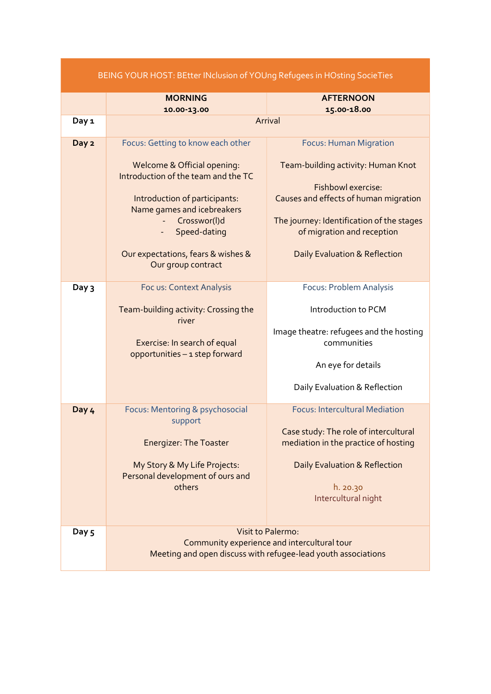|       | BEING YOUR HOST: BEtter INclusion of YOUng Refugees in HOsting SocieTies |                                                                               |
|-------|--------------------------------------------------------------------------|-------------------------------------------------------------------------------|
|       | <b>MORNING</b><br>10.00-13.00                                            | <b>AFTERNOON</b><br>15.00-18.00                                               |
| Day 1 |                                                                          | Arrival                                                                       |
| Day 2 | Focus: Getting to know each other                                        | <b>Focus: Human Migration</b>                                                 |
|       | Welcome & Official opening:<br>Introduction of the team and the TC       | Team-building activity: Human Knot<br>Fishbowl exercise:                      |
|       | Introduction of participants:<br>Name games and icebreakers              | Causes and effects of human migration                                         |
|       | Crosswor(l)d<br>Speed-dating                                             | The journey: Identification of the stages<br>of migration and reception       |
|       | Our expectations, fears & wishes &<br>Our group contract                 | <b>Daily Evaluation &amp; Reflection</b>                                      |
| Day 3 | Foc us: Context Analysis                                                 | Focus: Problem Analysis                                                       |
|       | Team-building activity: Crossing the<br>river                            | Introduction to PCM                                                           |
|       | Exercise: In search of equal                                             | Image theatre: refugees and the hosting<br>communities                        |
|       | opportunities - 1 step forward                                           | An eye for details                                                            |
|       |                                                                          | Daily Evaluation & Reflection                                                 |
| Day 4 | Focus: Mentoring & psychosocial<br>support                               | <b>Focus: Intercultural Mediation</b>                                         |
|       | <b>Energizer: The Toaster</b>                                            | Case study: The role of intercultural<br>mediation in the practice of hosting |
|       | My Story & My Life Projects:<br>Personal development of ours and         | Daily Evaluation & Reflection                                                 |
|       | others                                                                   | h. 20.30<br>Intercultural night                                               |
| Day 5 |                                                                          | <b>Visit to Palermo:</b><br>Community experience and intercultural tour       |
|       |                                                                          | Meeting and open discuss with refugee-lead youth associations                 |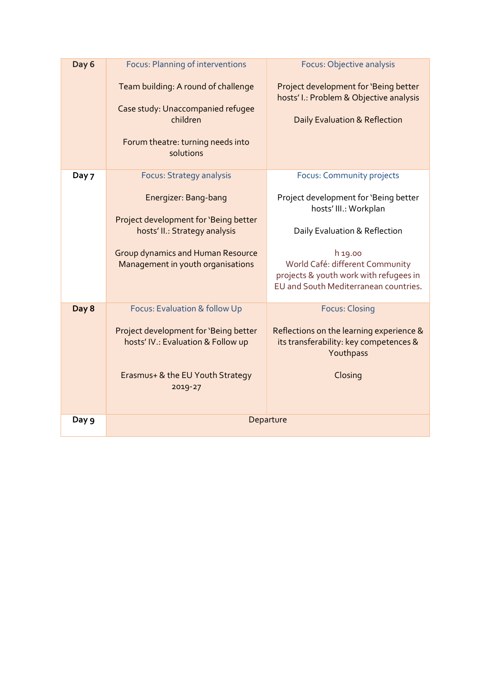| Day 6 | <b>Focus: Planning of interventions</b>                                                                                                | Focus: Objective analysis                                                                                                     |
|-------|----------------------------------------------------------------------------------------------------------------------------------------|-------------------------------------------------------------------------------------------------------------------------------|
|       | Team building: A round of challenge<br>Case study: Unaccompanied refugee<br>children<br>Forum theatre: turning needs into<br>solutions | Project development for 'Being better<br>hosts' I.: Problem & Objective analysis<br><b>Daily Evaluation &amp; Reflection</b>  |
| Day 7 | <b>Focus: Strategy analysis</b>                                                                                                        | Focus: Community projects                                                                                                     |
|       | Energizer: Bang-bang                                                                                                                   | Project development for 'Being better<br>hosts' III.: Workplan                                                                |
|       | Project development for 'Being better<br>hosts' II.: Strategy analysis                                                                 | Daily Evaluation & Reflection                                                                                                 |
|       | <b>Group dynamics and Human Resource</b><br>Management in youth organisations                                                          | h 19.00<br>World Café: different Community<br>projects & youth work with refugees in<br>EU and South Mediterranean countries. |
| Day 8 | Focus: Evaluation & follow Up                                                                                                          | <b>Focus: Closing</b>                                                                                                         |
|       | Project development for 'Being better<br>hosts' IV.: Evaluation & Follow up                                                            | Reflections on the learning experience &<br>its transferability: key competences &<br>Youthpass                               |
|       | Erasmus+ & the EU Youth Strategy<br>2019-27                                                                                            | Closing                                                                                                                       |
| Day 9 |                                                                                                                                        | Departure                                                                                                                     |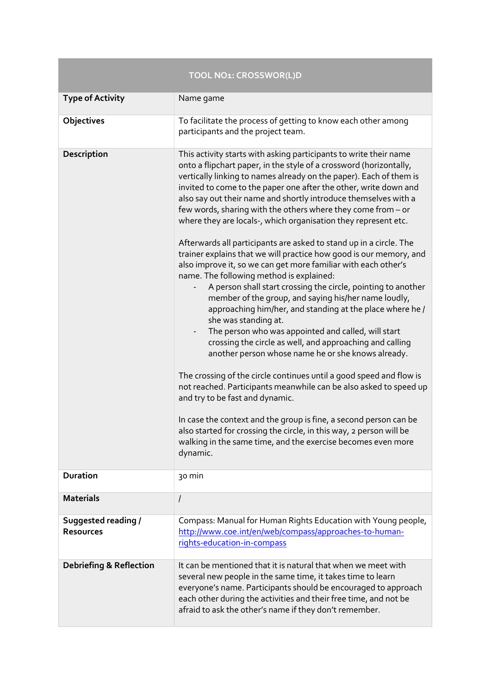|                                                | TOOL NO1: CROSSWOR(L)D                                                                                                                                                                                                                                                                                                                                                                                                                                                                                                                                                                                                                                                                                                                                                                                                                                                                                                                                                                                                                                                                                                                                                                                                                                                                                                                                                                                                                                                                                                                         |
|------------------------------------------------|------------------------------------------------------------------------------------------------------------------------------------------------------------------------------------------------------------------------------------------------------------------------------------------------------------------------------------------------------------------------------------------------------------------------------------------------------------------------------------------------------------------------------------------------------------------------------------------------------------------------------------------------------------------------------------------------------------------------------------------------------------------------------------------------------------------------------------------------------------------------------------------------------------------------------------------------------------------------------------------------------------------------------------------------------------------------------------------------------------------------------------------------------------------------------------------------------------------------------------------------------------------------------------------------------------------------------------------------------------------------------------------------------------------------------------------------------------------------------------------------------------------------------------------------|
| <b>Type of Activity</b>                        | Name game                                                                                                                                                                                                                                                                                                                                                                                                                                                                                                                                                                                                                                                                                                                                                                                                                                                                                                                                                                                                                                                                                                                                                                                                                                                                                                                                                                                                                                                                                                                                      |
| Objectives                                     | To facilitate the process of getting to know each other among<br>participants and the project team.                                                                                                                                                                                                                                                                                                                                                                                                                                                                                                                                                                                                                                                                                                                                                                                                                                                                                                                                                                                                                                                                                                                                                                                                                                                                                                                                                                                                                                            |
| Description                                    | This activity starts with asking participants to write their name<br>onto a flipchart paper, in the style of a crossword (horizontally,<br>vertically linking to names already on the paper). Each of them is<br>invited to come to the paper one after the other, write down and<br>also say out their name and shortly introduce themselves with a<br>few words, sharing with the others where they come from - or<br>where they are locals-, which organisation they represent etc.<br>Afterwards all participants are asked to stand up in a circle. The<br>trainer explains that we will practice how good is our memory, and<br>also improve it, so we can get more familiar with each other's<br>name. The following method is explained:<br>A person shall start crossing the circle, pointing to another<br>member of the group, and saying his/her name loudly,<br>approaching him/her, and standing at the place where he /<br>she was standing at.<br>The person who was appointed and called, will start<br>crossing the circle as well, and approaching and calling<br>another person whose name he or she knows already.<br>The crossing of the circle continues until a good speed and flow is<br>not reached. Participants meanwhile can be also asked to speed up<br>and try to be fast and dynamic.<br>In case the context and the group is fine, a second person can be<br>also started for crossing the circle, in this way, 2 person will be<br>walking in the same time, and the exercise becomes even more<br>dynamic. |
| <b>Duration</b>                                | 30 min                                                                                                                                                                                                                                                                                                                                                                                                                                                                                                                                                                                                                                                                                                                                                                                                                                                                                                                                                                                                                                                                                                                                                                                                                                                                                                                                                                                                                                                                                                                                         |
| <b>Materials</b>                               | I                                                                                                                                                                                                                                                                                                                                                                                                                                                                                                                                                                                                                                                                                                                                                                                                                                                                                                                                                                                                                                                                                                                                                                                                                                                                                                                                                                                                                                                                                                                                              |
| <b>Suggested reading /</b><br><b>Resources</b> | Compass: Manual for Human Rights Education with Young people,<br>http://www.coe.int/en/web/compass/approaches-to-human-<br>rights-education-in-compass                                                                                                                                                                                                                                                                                                                                                                                                                                                                                                                                                                                                                                                                                                                                                                                                                                                                                                                                                                                                                                                                                                                                                                                                                                                                                                                                                                                         |
| <b>Debriefing &amp; Reflection</b>             | It can be mentioned that it is natural that when we meet with<br>several new people in the same time, it takes time to learn<br>everyone's name. Participants should be encouraged to approach<br>each other during the activities and their free time, and not be<br>afraid to ask the other's name if they don't remember.                                                                                                                                                                                                                                                                                                                                                                                                                                                                                                                                                                                                                                                                                                                                                                                                                                                                                                                                                                                                                                                                                                                                                                                                                   |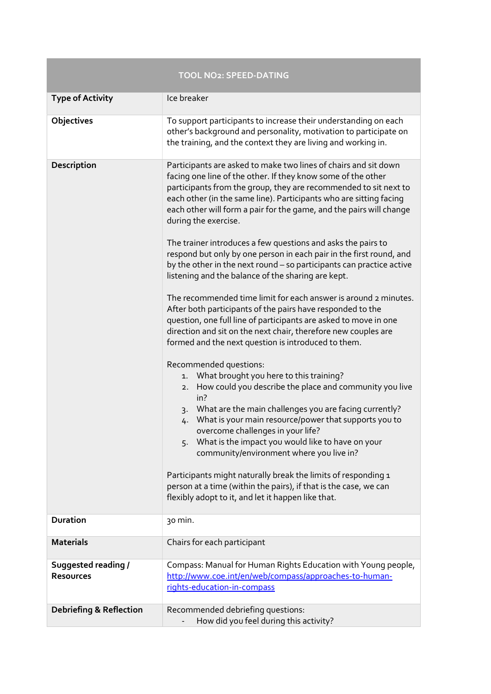|                                         | <b>TOOL NO2: SPEED-DATING</b>                                                                                                                                                                                                                                                                                                                                                                                                                                                                                                                                                                                                                                                                                                                                                                                                                                                                                                                                                                                                                                                                                                                                                                                                                                                                                                                                                                                                                                                                                                            |
|-----------------------------------------|------------------------------------------------------------------------------------------------------------------------------------------------------------------------------------------------------------------------------------------------------------------------------------------------------------------------------------------------------------------------------------------------------------------------------------------------------------------------------------------------------------------------------------------------------------------------------------------------------------------------------------------------------------------------------------------------------------------------------------------------------------------------------------------------------------------------------------------------------------------------------------------------------------------------------------------------------------------------------------------------------------------------------------------------------------------------------------------------------------------------------------------------------------------------------------------------------------------------------------------------------------------------------------------------------------------------------------------------------------------------------------------------------------------------------------------------------------------------------------------------------------------------------------------|
| <b>Type of Activity</b>                 | Ice breaker                                                                                                                                                                                                                                                                                                                                                                                                                                                                                                                                                                                                                                                                                                                                                                                                                                                                                                                                                                                                                                                                                                                                                                                                                                                                                                                                                                                                                                                                                                                              |
| Objectives                              | To support participants to increase their understanding on each<br>other's background and personality, motivation to participate on<br>the training, and the context they are living and working in.                                                                                                                                                                                                                                                                                                                                                                                                                                                                                                                                                                                                                                                                                                                                                                                                                                                                                                                                                                                                                                                                                                                                                                                                                                                                                                                                     |
| Description                             | Participants are asked to make two lines of chairs and sit down<br>facing one line of the other. If they know some of the other<br>participants from the group, they are recommended to sit next to<br>each other (in the same line). Participants who are sitting facing<br>each other will form a pair for the game, and the pairs will change<br>during the exercise.<br>The trainer introduces a few questions and asks the pairs to<br>respond but only by one person in each pair in the first round, and<br>by the other in the next round - so participants can practice active<br>listening and the balance of the sharing are kept.<br>The recommended time limit for each answer is around 2 minutes.<br>After both participants of the pairs have responded to the<br>question, one full line of participants are asked to move in one<br>direction and sit on the next chair, therefore new couples are<br>formed and the next question is introduced to them.<br>Recommended questions:<br>What brought you here to this training?<br>1.<br>How could you describe the place and community you live<br>2.<br>in?<br>3. What are the main challenges you are facing currently?<br>What is your main resource/power that supports you to<br>4.<br>overcome challenges in your life?<br>5. What is the impact you would like to have on your<br>community/environment where you live in?<br>Participants might naturally break the limits of responding 1<br>person at a time (within the pairs), if that is the case, we can |
|                                         | flexibly adopt to it, and let it happen like that.                                                                                                                                                                                                                                                                                                                                                                                                                                                                                                                                                                                                                                                                                                                                                                                                                                                                                                                                                                                                                                                                                                                                                                                                                                                                                                                                                                                                                                                                                       |
| <b>Duration</b>                         | 30 min.                                                                                                                                                                                                                                                                                                                                                                                                                                                                                                                                                                                                                                                                                                                                                                                                                                                                                                                                                                                                                                                                                                                                                                                                                                                                                                                                                                                                                                                                                                                                  |
| <b>Materials</b>                        | Chairs for each participant                                                                                                                                                                                                                                                                                                                                                                                                                                                                                                                                                                                                                                                                                                                                                                                                                                                                                                                                                                                                                                                                                                                                                                                                                                                                                                                                                                                                                                                                                                              |
| Suggested reading /<br><b>Resources</b> | Compass: Manual for Human Rights Education with Young people,<br>http://www.coe.int/en/web/compass/approaches-to-human-<br>rights-education-in-compass                                                                                                                                                                                                                                                                                                                                                                                                                                                                                                                                                                                                                                                                                                                                                                                                                                                                                                                                                                                                                                                                                                                                                                                                                                                                                                                                                                                   |
| <b>Debriefing &amp; Reflection</b>      | Recommended debriefing questions:<br>How did you feel during this activity?                                                                                                                                                                                                                                                                                                                                                                                                                                                                                                                                                                                                                                                                                                                                                                                                                                                                                                                                                                                                                                                                                                                                                                                                                                                                                                                                                                                                                                                              |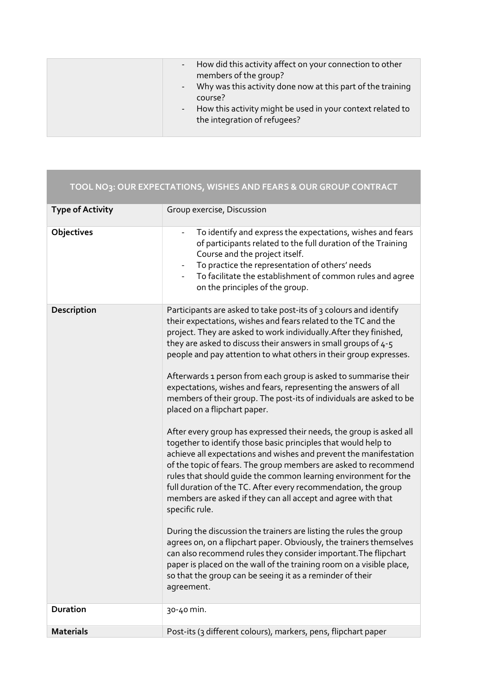|                         | TOOL NO3: OUR EXPECTATIONS, WISHES AND FEARS & OUR GROUP CONTRACT                                                                                                                                                                                                                                                                                                                                                                                                                                                                                                                                                                                                                                                                                                                                                                                                                                                                                                                                                                                                                                                                                                                                                                                                                                                                                                                                                                                                        |
|-------------------------|--------------------------------------------------------------------------------------------------------------------------------------------------------------------------------------------------------------------------------------------------------------------------------------------------------------------------------------------------------------------------------------------------------------------------------------------------------------------------------------------------------------------------------------------------------------------------------------------------------------------------------------------------------------------------------------------------------------------------------------------------------------------------------------------------------------------------------------------------------------------------------------------------------------------------------------------------------------------------------------------------------------------------------------------------------------------------------------------------------------------------------------------------------------------------------------------------------------------------------------------------------------------------------------------------------------------------------------------------------------------------------------------------------------------------------------------------------------------------|
| <b>Type of Activity</b> | Group exercise, Discussion                                                                                                                                                                                                                                                                                                                                                                                                                                                                                                                                                                                                                                                                                                                                                                                                                                                                                                                                                                                                                                                                                                                                                                                                                                                                                                                                                                                                                                               |
| Objectives              | To identify and express the expectations, wishes and fears<br>of participants related to the full duration of the Training<br>Course and the project itself.<br>To practice the representation of others' needs<br>۰<br>To facilitate the establishment of common rules and agree<br>on the principles of the group.                                                                                                                                                                                                                                                                                                                                                                                                                                                                                                                                                                                                                                                                                                                                                                                                                                                                                                                                                                                                                                                                                                                                                     |
| Description             | Participants are asked to take post-its of 3 colours and identify<br>their expectations, wishes and fears related to the TC and the<br>project. They are asked to work individually. After they finished,<br>they are asked to discuss their answers in small groups of 4-5<br>people and pay attention to what others in their group expresses.<br>Afterwards 1 person from each group is asked to summarise their<br>expectations, wishes and fears, representing the answers of all<br>members of their group. The post-its of individuals are asked to be<br>placed on a flipchart paper.<br>After every group has expressed their needs, the group is asked all<br>together to identify those basic principles that would help to<br>achieve all expectations and wishes and prevent the manifestation<br>of the topic of fears. The group members are asked to recommend<br>rules that should guide the common learning environment for the<br>full duration of the TC. After every recommendation, the group<br>members are asked if they can all accept and agree with that<br>specific rule.<br>During the discussion the trainers are listing the rules the group<br>agrees on, on a flipchart paper. Obviously, the trainers themselves<br>can also recommend rules they consider important. The flipchart<br>paper is placed on the wall of the training room on a visible place,<br>so that the group can be seeing it as a reminder of their<br>agreement. |
| <b>Duration</b>         | 30-40 min.                                                                                                                                                                                                                                                                                                                                                                                                                                                                                                                                                                                                                                                                                                                                                                                                                                                                                                                                                                                                                                                                                                                                                                                                                                                                                                                                                                                                                                                               |
| <b>Materials</b>        | Post-its (3 different colours), markers, pens, flipchart paper                                                                                                                                                                                                                                                                                                                                                                                                                                                                                                                                                                                                                                                                                                                                                                                                                                                                                                                                                                                                                                                                                                                                                                                                                                                                                                                                                                                                           |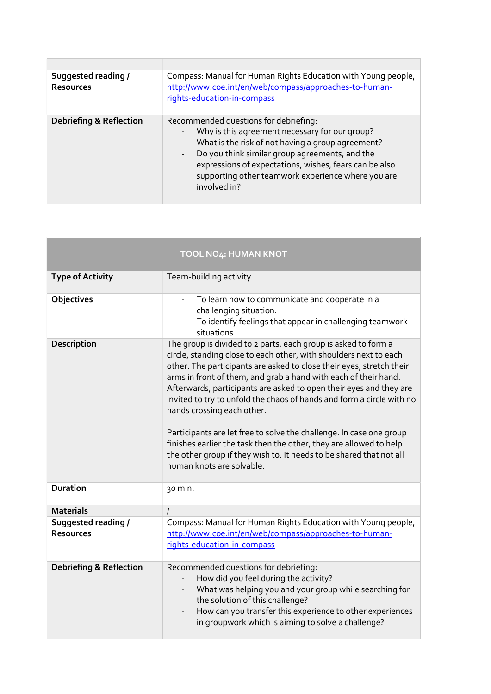| Suggested reading /<br><b>Resources</b> | Compass: Manual for Human Rights Education with Young people,<br>http://www.coe.int/en/web/compass/approaches-to-human-<br>rights-education-in-compass                                                                                                                                                                                                     |  |
|-----------------------------------------|------------------------------------------------------------------------------------------------------------------------------------------------------------------------------------------------------------------------------------------------------------------------------------------------------------------------------------------------------------|--|
| <b>Debriefing &amp; Reflection</b>      | Recommended questions for debriefing:<br>Why is this agreement necessary for our group?<br>What is the risk of not having a group agreement?<br>Do you think similar group agreements, and the<br>$\overline{\phantom{a}}$<br>expressions of expectations, wishes, fears can be also<br>supporting other teamwork experience where you are<br>involved in? |  |

|                                         | <b>TOOL NO4: HUMAN KNOT</b>                                                                                                                                                                                                                                                                                                                                                                                                                                                                                                                                                                                                                                                                                  |
|-----------------------------------------|--------------------------------------------------------------------------------------------------------------------------------------------------------------------------------------------------------------------------------------------------------------------------------------------------------------------------------------------------------------------------------------------------------------------------------------------------------------------------------------------------------------------------------------------------------------------------------------------------------------------------------------------------------------------------------------------------------------|
| <b>Type of Activity</b>                 | Team-building activity                                                                                                                                                                                                                                                                                                                                                                                                                                                                                                                                                                                                                                                                                       |
| Objectives                              | To learn how to communicate and cooperate in a<br>challenging situation.<br>To identify feelings that appear in challenging teamwork<br>situations.                                                                                                                                                                                                                                                                                                                                                                                                                                                                                                                                                          |
| Description                             | The group is divided to 2 parts, each group is asked to form a<br>circle, standing close to each other, with shoulders next to each<br>other. The participants are asked to close their eyes, stretch their<br>arms in front of them, and grab a hand with each of their hand.<br>Afterwards, participants are asked to open their eyes and they are<br>invited to try to unfold the chaos of hands and form a circle with no<br>hands crossing each other.<br>Participants are let free to solve the challenge. In case one group<br>finishes earlier the task then the other, they are allowed to help<br>the other group if they wish to. It needs to be shared that not all<br>human knots are solvable. |
| <b>Duration</b>                         | 30 min.                                                                                                                                                                                                                                                                                                                                                                                                                                                                                                                                                                                                                                                                                                      |
| <b>Materials</b>                        | $\overline{I}$                                                                                                                                                                                                                                                                                                                                                                                                                                                                                                                                                                                                                                                                                               |
| Suggested reading /<br><b>Resources</b> | Compass: Manual for Human Rights Education with Young people,<br>http://www.coe.int/en/web/compass/approaches-to-human-<br>rights-education-in-compass                                                                                                                                                                                                                                                                                                                                                                                                                                                                                                                                                       |
| <b>Debriefing &amp; Reflection</b>      | Recommended questions for debriefing:<br>How did you feel during the activity?<br>What was helping you and your group while searching for<br>the solution of this challenge?<br>How can you transfer this experience to other experiences<br>in groupwork which is aiming to solve a challenge?                                                                                                                                                                                                                                                                                                                                                                                                              |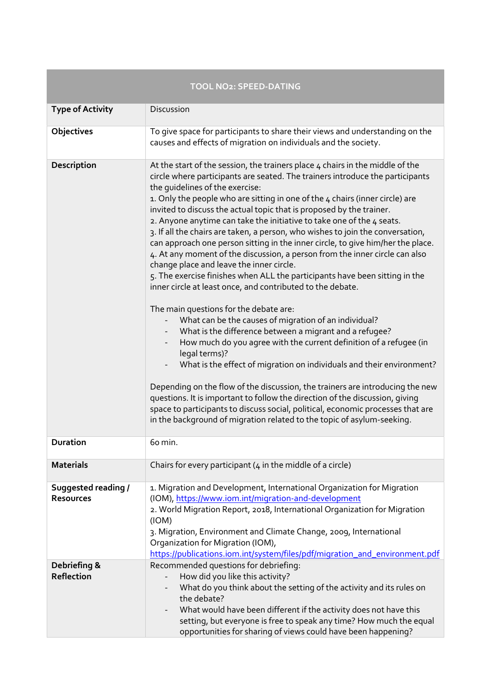|                                         | <b>TOOL NO2: SPEED-DATING</b>                                                                                                                                                                                                                                                                                                                                                                                                                                                                                                                                                                                                                                                                                                                                                                                                                                                                                                                                                                                                                                                                                                                                                                                                                                                                                                                                                                                                                                                                                                               |
|-----------------------------------------|---------------------------------------------------------------------------------------------------------------------------------------------------------------------------------------------------------------------------------------------------------------------------------------------------------------------------------------------------------------------------------------------------------------------------------------------------------------------------------------------------------------------------------------------------------------------------------------------------------------------------------------------------------------------------------------------------------------------------------------------------------------------------------------------------------------------------------------------------------------------------------------------------------------------------------------------------------------------------------------------------------------------------------------------------------------------------------------------------------------------------------------------------------------------------------------------------------------------------------------------------------------------------------------------------------------------------------------------------------------------------------------------------------------------------------------------------------------------------------------------------------------------------------------------|
| <b>Type of Activity</b>                 | Discussion                                                                                                                                                                                                                                                                                                                                                                                                                                                                                                                                                                                                                                                                                                                                                                                                                                                                                                                                                                                                                                                                                                                                                                                                                                                                                                                                                                                                                                                                                                                                  |
| <b>Objectives</b>                       | To give space for participants to share their views and understanding on the<br>causes and effects of migration on individuals and the society.                                                                                                                                                                                                                                                                                                                                                                                                                                                                                                                                                                                                                                                                                                                                                                                                                                                                                                                                                                                                                                                                                                                                                                                                                                                                                                                                                                                             |
| Description                             | At the start of the session, the trainers place 4 chairs in the middle of the<br>circle where participants are seated. The trainers introduce the participants<br>the quidelines of the exercise:<br>1. Only the people who are sitting in one of the 4 chairs (inner circle) are<br>invited to discuss the actual topic that is proposed by the trainer.<br>2. Anyone anytime can take the initiative to take one of the 4 seats.<br>3. If all the chairs are taken, a person, who wishes to join the conversation,<br>can approach one person sitting in the inner circle, to give him/her the place.<br>4. At any moment of the discussion, a person from the inner circle can also<br>change place and leave the inner circle.<br>5. The exercise finishes when ALL the participants have been sitting in the<br>inner circle at least once, and contributed to the debate.<br>The main questions for the debate are:<br>What can be the causes of migration of an individual?<br>What is the difference between a migrant and a refugee?<br>How much do you agree with the current definition of a refugee (in<br>legal terms)?<br>What is the effect of migration on individuals and their environment?<br>Depending on the flow of the discussion, the trainers are introducing the new<br>questions. It is important to follow the direction of the discussion, giving<br>space to participants to discuss social, political, economic processes that are<br>in the background of migration related to the topic of asylum-seeking. |
| <b>Duration</b>                         | 60 min.                                                                                                                                                                                                                                                                                                                                                                                                                                                                                                                                                                                                                                                                                                                                                                                                                                                                                                                                                                                                                                                                                                                                                                                                                                                                                                                                                                                                                                                                                                                                     |
| <b>Materials</b>                        | Chairs for every participant $(4 \text{ in the middle of a circle})$                                                                                                                                                                                                                                                                                                                                                                                                                                                                                                                                                                                                                                                                                                                                                                                                                                                                                                                                                                                                                                                                                                                                                                                                                                                                                                                                                                                                                                                                        |
| Suggested reading /<br><b>Resources</b> | 1. Migration and Development, International Organization for Migration<br>(IOM), https://www.iom.int/migration-and-development<br>2. World Migration Report, 2018, International Organization for Migration<br>(IOM)<br>3. Migration, Environment and Climate Change, 2009, International<br>Organization for Migration (IOM),<br>https://publications.iom.int/system/files/pdf/migration_and_environment.pdf                                                                                                                                                                                                                                                                                                                                                                                                                                                                                                                                                                                                                                                                                                                                                                                                                                                                                                                                                                                                                                                                                                                               |
| Debriefing &<br>Reflection              | Recommended questions for debriefing:<br>How did you like this activity?<br>What do you think about the setting of the activity and its rules on<br>the debate?<br>What would have been different if the activity does not have this<br>setting, but everyone is free to speak any time? How much the equal<br>opportunities for sharing of views could have been happening?                                                                                                                                                                                                                                                                                                                                                                                                                                                                                                                                                                                                                                                                                                                                                                                                                                                                                                                                                                                                                                                                                                                                                                |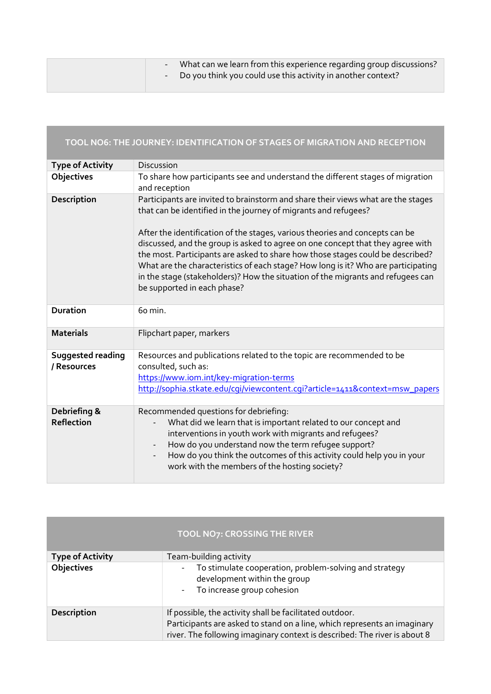|  | What can we learn from this experience regarding group discussions?<br>- Do you think you could use this activity in another context? |
|--|---------------------------------------------------------------------------------------------------------------------------------------|
|  |                                                                                                                                       |

|                                  | TOOL NO6: THE JOURNEY: IDENTIFICATION OF STAGES OF MIGRATION AND RECEPTION                                                                                                                                                                                                                                                                                                                                                                                                                                                                                                                                     |
|----------------------------------|----------------------------------------------------------------------------------------------------------------------------------------------------------------------------------------------------------------------------------------------------------------------------------------------------------------------------------------------------------------------------------------------------------------------------------------------------------------------------------------------------------------------------------------------------------------------------------------------------------------|
| <b>Type of Activity</b>          | <b>Discussion</b>                                                                                                                                                                                                                                                                                                                                                                                                                                                                                                                                                                                              |
| Objectives                       | To share how participants see and understand the different stages of migration<br>and reception                                                                                                                                                                                                                                                                                                                                                                                                                                                                                                                |
| Description                      | Participants are invited to brainstorm and share their views what are the stages<br>that can be identified in the journey of migrants and refugees?<br>After the identification of the stages, various theories and concepts can be<br>discussed, and the group is asked to agree on one concept that they agree with<br>the most. Participants are asked to share how those stages could be described?<br>What are the characteristics of each stage? How long is it? Who are participating<br>in the stage (stakeholders)? How the situation of the migrants and refugees can<br>be supported in each phase? |
| <b>Duration</b>                  | 60 min.                                                                                                                                                                                                                                                                                                                                                                                                                                                                                                                                                                                                        |
| <b>Materials</b>                 | Flipchart paper, markers                                                                                                                                                                                                                                                                                                                                                                                                                                                                                                                                                                                       |
| Suggested reading<br>/ Resources | Resources and publications related to the topic are recommended to be<br>consulted, such as:<br>https://www.iom.int/key-migration-terms<br>http://sophia.stkate.edu/cqi/viewcontent.cqi?article=1411&context=msw_papers                                                                                                                                                                                                                                                                                                                                                                                        |
| Debriefing &<br>Reflection       | Recommended questions for debriefing:<br>What did we learn that is important related to our concept and<br>interventions in youth work with migrants and refugees?<br>How do you understand now the term refugee support?<br>How do you think the outcomes of this activity could help you in your<br>$\overline{\phantom{a}}$<br>work with the members of the hosting society?                                                                                                                                                                                                                                |

|                         | <b>TOOL NO7: CROSSING THE RIVER</b>                                                                                                                                                                              |
|-------------------------|------------------------------------------------------------------------------------------------------------------------------------------------------------------------------------------------------------------|
| <b>Type of Activity</b> | Team-building activity                                                                                                                                                                                           |
| Objectives              | To stimulate cooperation, problem-solving and strategy<br>$\overline{\phantom{a}}$<br>development within the group<br>To increase group cohesion<br>$\sim$                                                       |
| <b>Description</b>      | If possible, the activity shall be facilitated outdoor.<br>Participants are asked to stand on a line, which represents an imaginary<br>river. The following imaginary context is described: The river is about 8 |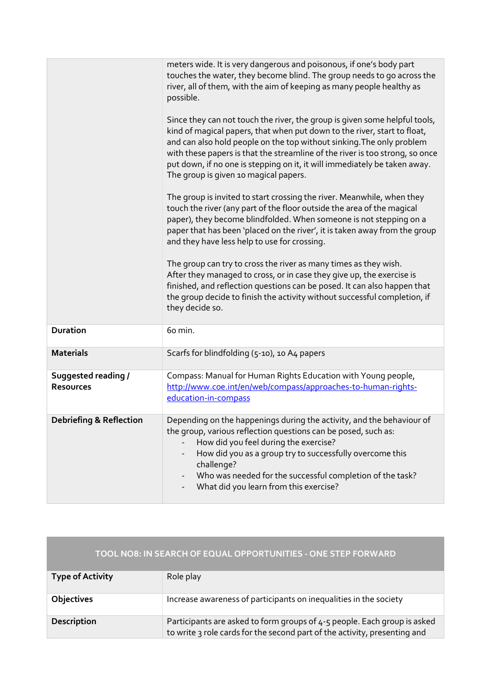|                                                | meters wide. It is very dangerous and poisonous, if one's body part<br>touches the water, they become blind. The group needs to go across the<br>river, all of them, with the aim of keeping as many people healthy as<br>possible.<br>Since they can not touch the river, the group is given some helpful tools,<br>kind of magical papers, that when put down to the river, start to float,<br>and can also hold people on the top without sinking. The only problem<br>with these papers is that the streamline of the river is too strong, so once<br>put down, if no one is stepping on it, it will immediately be taken away.<br>The group is given 10 magical papers.<br>The group is invited to start crossing the river. Meanwhile, when they<br>touch the river (any part of the floor outside the area of the magical<br>paper), they become blindfolded. When someone is not stepping on a<br>paper that has been 'placed on the river', it is taken away from the group<br>and they have less help to use for crossing.<br>The group can try to cross the river as many times as they wish. |
|------------------------------------------------|----------------------------------------------------------------------------------------------------------------------------------------------------------------------------------------------------------------------------------------------------------------------------------------------------------------------------------------------------------------------------------------------------------------------------------------------------------------------------------------------------------------------------------------------------------------------------------------------------------------------------------------------------------------------------------------------------------------------------------------------------------------------------------------------------------------------------------------------------------------------------------------------------------------------------------------------------------------------------------------------------------------------------------------------------------------------------------------------------------|
|                                                | After they managed to cross, or in case they give up, the exercise is<br>finished, and reflection questions can be posed. It can also happen that<br>the group decide to finish the activity without successful completion, if<br>they decide so.                                                                                                                                                                                                                                                                                                                                                                                                                                                                                                                                                                                                                                                                                                                                                                                                                                                        |
| <b>Duration</b>                                | 60 min.                                                                                                                                                                                                                                                                                                                                                                                                                                                                                                                                                                                                                                                                                                                                                                                                                                                                                                                                                                                                                                                                                                  |
| <b>Materials</b>                               | Scarfs for blindfolding (5-10), 10 A4 papers                                                                                                                                                                                                                                                                                                                                                                                                                                                                                                                                                                                                                                                                                                                                                                                                                                                                                                                                                                                                                                                             |
| <b>Suggested reading /</b><br><b>Resources</b> | Compass: Manual for Human Rights Education with Young people,<br>http://www.coe.int/en/web/compass/approaches-to-human-rights-<br>education-in-compass                                                                                                                                                                                                                                                                                                                                                                                                                                                                                                                                                                                                                                                                                                                                                                                                                                                                                                                                                   |
| <b>Debriefing &amp; Reflection</b>             | Depending on the happenings during the activity, and the behaviour of<br>the group, various reflection questions can be posed, such as:<br>How did you feel during the exercise?<br>How did you as a group try to successfully overcome this<br>challenge?<br>Who was needed for the successful completion of the task?<br>What did you learn from this exercise?                                                                                                                                                                                                                                                                                                                                                                                                                                                                                                                                                                                                                                                                                                                                        |

| TOOL NO8: IN SEARCH OF EQUAL OPPORTUNITIES - ONE STEP FORWARD |                                                                                                                                                       |  |
|---------------------------------------------------------------|-------------------------------------------------------------------------------------------------------------------------------------------------------|--|
| <b>Type of Activity</b>                                       | Role play                                                                                                                                             |  |
| <b>Objectives</b>                                             | Increase awareness of participants on inequalities in the society                                                                                     |  |
| Description                                                   | Participants are asked to form groups of 4-5 people. Each group is asked<br>to write 3 role cards for the second part of the activity, presenting and |  |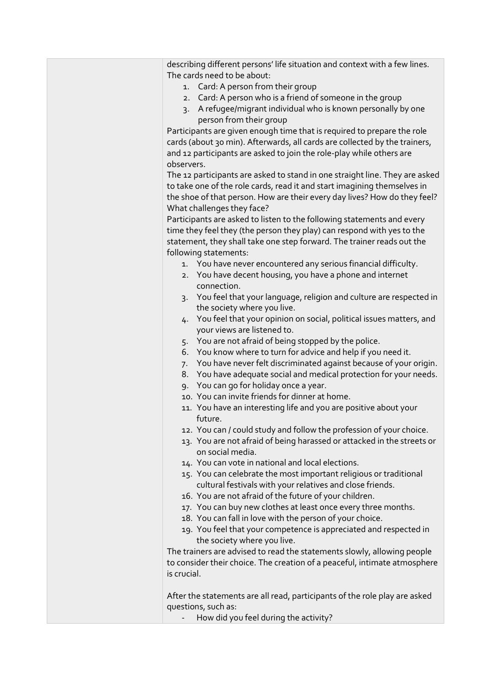| describing different persons' life situation and context with a few lines.<br>The cards need to be about: |
|-----------------------------------------------------------------------------------------------------------|
| 1. Card: A person from their group                                                                        |
| 2. Card: A person who is a friend of someone in the group                                                 |
| A refugee/migrant individual who is known personally by one<br>$\mathsf{R}$ .                             |
| person from their group                                                                                   |
| Participants are given enough time that is required to prepare the role                                   |
| cards (about 30 min). Afterwards, all cards are collected by the trainers,                                |
| and 12 participants are asked to join the role-play while others are                                      |
| observers.                                                                                                |
| The 12 participants are asked to stand in one straight line. They are asked                               |
| to take one of the role cards, read it and start imagining themselves in                                  |
| the shoe of that person. How are their every day lives? How do they feel?                                 |
| What challenges they face?<br>Participants are asked to listen to the following statements and every      |
| time they feel they (the person they play) can respond with yes to the                                    |
| statement, they shall take one step forward. The trainer reads out the                                    |
| following statements:                                                                                     |
| 1. You have never encountered any serious financial difficulty.                                           |
| 2. You have decent housing, you have a phone and internet                                                 |
| connection.                                                                                               |
| 3. You feel that your language, religion and culture are respected in                                     |
| the society where you live.                                                                               |
| 4. You feel that your opinion on social, political issues matters, and                                    |
| your views are listened to.                                                                               |
| 5. You are not afraid of being stopped by the police.                                                     |
| 6. You know where to turn for advice and help if you need it.                                             |
| 7. You have never felt discriminated against because of your origin.                                      |
| 8. You have adequate social and medical protection for your needs.                                        |
| 9. You can go for holiday once a year.                                                                    |
| 10. You can invite friends for dinner at home.                                                            |
| 11. You have an interesting life and you are positive about your<br>future.                               |
| 12. You can / could study and follow the profession of your choice.                                       |
| 13. You are not afraid of being harassed or attacked in the streets or                                    |
| on social media.                                                                                          |
| 14. You can vote in national and local elections.                                                         |
| 15. You can celebrate the most important religious or traditional                                         |
| cultural festivals with your relatives and close friends.                                                 |
| 16. You are not afraid of the future of your children.                                                    |
| 17. You can buy new clothes at least once every three months.                                             |
| 18. You can fall in love with the person of your choice.                                                  |
| 19. You feel that your competence is appreciated and respected in                                         |
| the society where you live.                                                                               |
| The trainers are advised to read the statements slowly, allowing people                                   |
| to consider their choice. The creation of a peaceful, intimate atmosphere                                 |
| is crucial.                                                                                               |
| After the statements are all read, participants of the role play are asked                                |
| questions, such as:                                                                                       |
| How did you feel during the activity?                                                                     |
|                                                                                                           |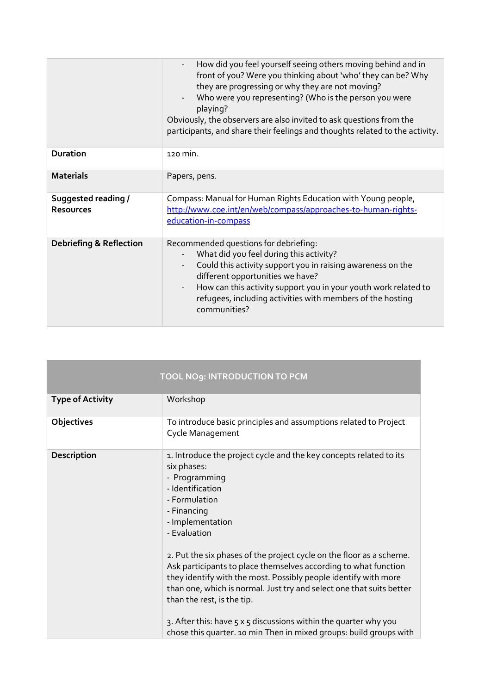|                                                | How did you feel yourself seeing others moving behind and in<br>front of you? Were you thinking about 'who' they can be? Why<br>they are progressing or why they are not moving?<br>Who were you representing? (Who is the person you were<br>playing?<br>Obviously, the observers are also invited to ask questions from the<br>participants, and share their feelings and thoughts related to the activity. |
|------------------------------------------------|---------------------------------------------------------------------------------------------------------------------------------------------------------------------------------------------------------------------------------------------------------------------------------------------------------------------------------------------------------------------------------------------------------------|
| <b>Duration</b>                                | 120 min.                                                                                                                                                                                                                                                                                                                                                                                                      |
| <b>Materials</b>                               | Papers, pens.                                                                                                                                                                                                                                                                                                                                                                                                 |
| <b>Suggested reading /</b><br><b>Resources</b> | Compass: Manual for Human Rights Education with Young people,<br>http://www.coe.int/en/web/compass/approaches-to-human-rights-<br>education-in-compass                                                                                                                                                                                                                                                        |
| <b>Debriefing &amp; Reflection</b>             | Recommended questions for debriefing:<br>What did you feel during this activity?<br>Could this activity support you in raising awareness on the<br>different opportunities we have?<br>How can this activity support you in your youth work related to<br>$\frac{1}{2}$<br>refugees, including activities with members of the hosting<br>communities?                                                         |

| TOOL NO9: INTRODUCTION TO PCM |                                                                                                                                                                                                                                                                                                                                                                                                                                                                                                                                                                                                                                                                 |
|-------------------------------|-----------------------------------------------------------------------------------------------------------------------------------------------------------------------------------------------------------------------------------------------------------------------------------------------------------------------------------------------------------------------------------------------------------------------------------------------------------------------------------------------------------------------------------------------------------------------------------------------------------------------------------------------------------------|
| <b>Type of Activity</b>       | Workshop                                                                                                                                                                                                                                                                                                                                                                                                                                                                                                                                                                                                                                                        |
| Objectives                    | To introduce basic principles and assumptions related to Project<br>Cycle Management                                                                                                                                                                                                                                                                                                                                                                                                                                                                                                                                                                            |
| Description                   | 1. Introduce the project cycle and the key concepts related to its<br>six phases:<br>- Programming<br>- Identification<br>- Formulation<br>- Financing<br>- Implementation<br>- Evaluation<br>2. Put the six phases of the project cycle on the floor as a scheme.<br>Ask participants to place themselves according to what function<br>they identify with the most. Possibly people identify with more<br>than one, which is normal. Just try and select one that suits better<br>than the rest, is the tip.<br>3. After this: have $5 \times 5$ discussions within the quarter why you<br>chose this quarter. 10 min Then in mixed groups: build groups with |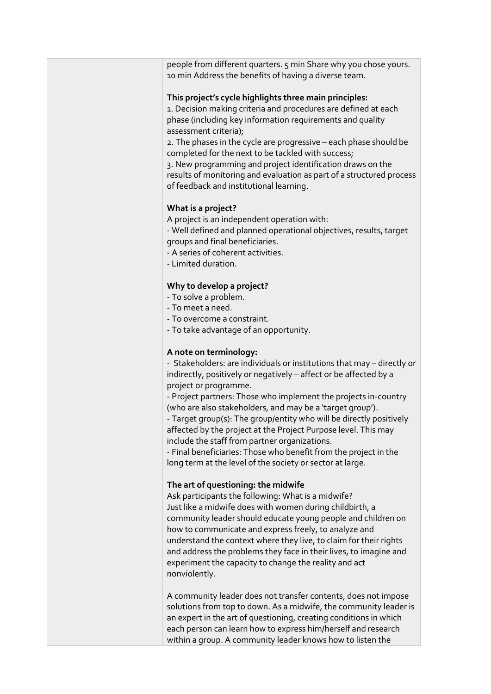people from different quarters. 5 min Share why you chose yours. 10 min Address the benefits of having a diverse team.

#### This project's cycle highlights three main principles:

1. Decision making criteria and procedures are defined at each phase (including key information requirements and quality assessment criteria);

2. The phases in the cycle are progressive – each phase should be completed for the next to be tackled with success;

3. New programming and project identification draws on the results of monitoring and evaluation as part of a structured process of feedback and institutional learning.

#### What is a project?

A project is an independent operation with:

- Well defined and planned operational objectives, results, target groups and final beneficiaries.

- A series of coherent activities.
- Limited duration.

#### Why to develop a project?

- To solve a problem.
- To meet a need.
- To overcome a constraint.
- To take advantage of an opportunity.

#### A note on terminology:

- Stakeholders: are individuals or institutions that may – directly or indirectly, positively or negatively – affect or be affected by a project or programme.

- Project partners: Those who implement the projects in-country (who are also stakeholders, and may be a 'target group').

- Target group(s): The group/entity who will be directly positively affected by the project at the Project Purpose level. This may include the staff from partner organizations.

- Final beneficiaries: Those who benefit from the project in the long term at the level of the society or sector at large.

#### The art of questioning: the midwife

Ask participants the following: What is a midwife? Just like a midwife does with women during childbirth, a community leader should educate young people and children on how to communicate and express freely, to analyze and understand the context where they live, to claim for their rights and address the problems they face in their lives, to imagine and experiment the capacity to change the reality and act nonviolently.

A community leader does not transfer contents, does not impose solutions from top to down. As a midwife, the community leader is an expert in the art of questioning, creating conditions in which each person can learn how to express him/herself and research within a group. A community leader knows how to listen the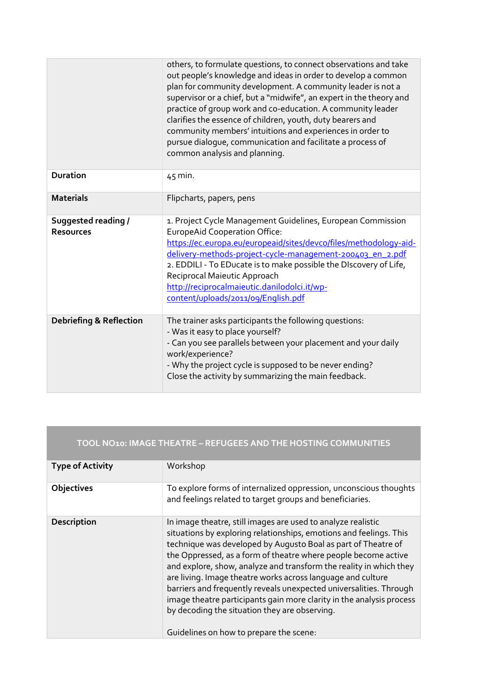|                                         | others, to formulate questions, to connect observations and take<br>out people's knowledge and ideas in order to develop a common<br>plan for community development. A community leader is not a<br>supervisor or a chief, but a "midwife", an expert in the theory and<br>practice of group work and co-education. A community leader<br>clarifies the essence of children, youth, duty bearers and<br>community members' intuitions and experiences in order to<br>pursue dialogue, communication and facilitate a process of<br>common analysis and planning. |
|-----------------------------------------|------------------------------------------------------------------------------------------------------------------------------------------------------------------------------------------------------------------------------------------------------------------------------------------------------------------------------------------------------------------------------------------------------------------------------------------------------------------------------------------------------------------------------------------------------------------|
| <b>Duration</b>                         | $45$ min.                                                                                                                                                                                                                                                                                                                                                                                                                                                                                                                                                        |
| <b>Materials</b>                        | Flipcharts, papers, pens                                                                                                                                                                                                                                                                                                                                                                                                                                                                                                                                         |
| Suggested reading /<br><b>Resources</b> | 1. Project Cycle Management Guidelines, European Commission<br><b>EuropeAid Cooperation Office:</b><br>https://ec.europa.eu/europeaid/sites/devco/files/methodology-aid-<br>delivery-methods-project-cycle-management-200403_en_2.pdf<br>2. EDDILI - To EDucate is to make possible the DIscovery of Life,<br>Reciprocal Maieutic Approach<br>http://reciprocalmaieutic.danilodolci.it/wp-<br>content/uploads/2011/09/English.pdf                                                                                                                                |
| <b>Debriefing &amp; Reflection</b>      | The trainer asks participants the following questions:<br>- Was it easy to place yourself?<br>- Can you see parallels between your placement and your daily<br>work/experience?<br>- Why the project cycle is supposed to be never ending?<br>Close the activity by summarizing the main feedback.                                                                                                                                                                                                                                                               |

|                         | TOOL NO10: IMAGE THEATRE - REFUGEES AND THE HOSTING COMMUNITIES                                                                                                                                                                                                                                                                                                                                                                                                                                                                                                                                                                                      |
|-------------------------|------------------------------------------------------------------------------------------------------------------------------------------------------------------------------------------------------------------------------------------------------------------------------------------------------------------------------------------------------------------------------------------------------------------------------------------------------------------------------------------------------------------------------------------------------------------------------------------------------------------------------------------------------|
| <b>Type of Activity</b> | Workshop                                                                                                                                                                                                                                                                                                                                                                                                                                                                                                                                                                                                                                             |
| Objectives              | To explore forms of internalized oppression, unconscious thoughts<br>and feelings related to target groups and beneficiaries.                                                                                                                                                                                                                                                                                                                                                                                                                                                                                                                        |
| Description             | In image theatre, still images are used to analyze realistic<br>situations by exploring relationships, emotions and feelings. This<br>technique was developed by Augusto Boal as part of Theatre of<br>the Oppressed, as a form of theatre where people become active<br>and explore, show, analyze and transform the reality in which they<br>are living. Image theatre works across language and culture<br>barriers and frequently reveals unexpected universalities. Through<br>image theatre participants gain more clarity in the analysis process<br>by decoding the situation they are observing.<br>Guidelines on how to prepare the scene: |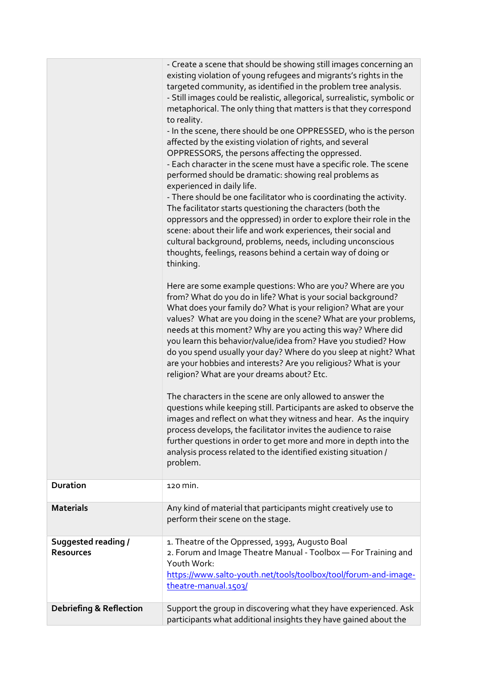|                                                | - Create a scene that should be showing still images concerning an<br>existing violation of young refugees and migrants's rights in the<br>targeted community, as identified in the problem tree analysis.<br>- Still images could be realistic, allegorical, surrealistic, symbolic or<br>metaphorical. The only thing that matters is that they correspond<br>to reality.<br>- In the scene, there should be one OPPRESSED, who is the person<br>affected by the existing violation of rights, and several<br>OPPRESSORS, the persons affecting the oppressed.<br>- Each character in the scene must have a specific role. The scene<br>performed should be dramatic: showing real problems as<br>experienced in daily life.<br>- There should be one facilitator who is coordinating the activity.<br>The facilitator starts questioning the characters (both the<br>oppressors and the oppressed) in order to explore their role in the<br>scene: about their life and work experiences, their social and<br>cultural background, problems, needs, including unconscious<br>thoughts, feelings, reasons behind a certain way of doing or<br>thinking.<br>Here are some example questions: Who are you? Where are you<br>from? What do you do in life? What is your social background?<br>What does your family do? What is your religion? What are your<br>values? What are you doing in the scene? What are your problems,<br>needs at this moment? Why are you acting this way? Where did<br>you learn this behavior/value/idea from? Have you studied? How<br>do you spend usually your day? Where do you sleep at night? What<br>are your hobbies and interests? Are you religious? What is your<br>religion? What are your dreams about? Etc.<br>The characters in the scene are only allowed to answer the<br>questions while keeping still. Participants are asked to observe the<br>images and reflect on what they witness and hear. As the inquiry<br>process develops, the facilitator invites the audience to raise<br>further questions in order to get more and more in depth into the<br>analysis process related to the identified existing situation /<br>problem. |
|------------------------------------------------|-----------------------------------------------------------------------------------------------------------------------------------------------------------------------------------------------------------------------------------------------------------------------------------------------------------------------------------------------------------------------------------------------------------------------------------------------------------------------------------------------------------------------------------------------------------------------------------------------------------------------------------------------------------------------------------------------------------------------------------------------------------------------------------------------------------------------------------------------------------------------------------------------------------------------------------------------------------------------------------------------------------------------------------------------------------------------------------------------------------------------------------------------------------------------------------------------------------------------------------------------------------------------------------------------------------------------------------------------------------------------------------------------------------------------------------------------------------------------------------------------------------------------------------------------------------------------------------------------------------------------------------------------------------------------------------------------------------------------------------------------------------------------------------------------------------------------------------------------------------------------------------------------------------------------------------------------------------------------------------------------------------------------------------------------------------------------------------------------------------------------------------------------------------------------------------------|
| <b>Duration</b>                                | 120 min.                                                                                                                                                                                                                                                                                                                                                                                                                                                                                                                                                                                                                                                                                                                                                                                                                                                                                                                                                                                                                                                                                                                                                                                                                                                                                                                                                                                                                                                                                                                                                                                                                                                                                                                                                                                                                                                                                                                                                                                                                                                                                                                                                                                |
| <b>Materials</b>                               | Any kind of material that participants might creatively use to<br>perform their scene on the stage.                                                                                                                                                                                                                                                                                                                                                                                                                                                                                                                                                                                                                                                                                                                                                                                                                                                                                                                                                                                                                                                                                                                                                                                                                                                                                                                                                                                                                                                                                                                                                                                                                                                                                                                                                                                                                                                                                                                                                                                                                                                                                     |
| <b>Suggested reading /</b><br><b>Resources</b> | 1. Theatre of the Oppressed, 1993, Augusto Boal<br>2. Forum and Image Theatre Manual - Toolbox - For Training and<br>Youth Work:<br>https://www.salto-youth.net/tools/toolbox/tool/forum-and-image-<br>theatre-manual.1503/                                                                                                                                                                                                                                                                                                                                                                                                                                                                                                                                                                                                                                                                                                                                                                                                                                                                                                                                                                                                                                                                                                                                                                                                                                                                                                                                                                                                                                                                                                                                                                                                                                                                                                                                                                                                                                                                                                                                                             |
| <b>Debriefing &amp; Reflection</b>             | Support the group in discovering what they have experienced. Ask<br>participants what additional insights they have gained about the                                                                                                                                                                                                                                                                                                                                                                                                                                                                                                                                                                                                                                                                                                                                                                                                                                                                                                                                                                                                                                                                                                                                                                                                                                                                                                                                                                                                                                                                                                                                                                                                                                                                                                                                                                                                                                                                                                                                                                                                                                                    |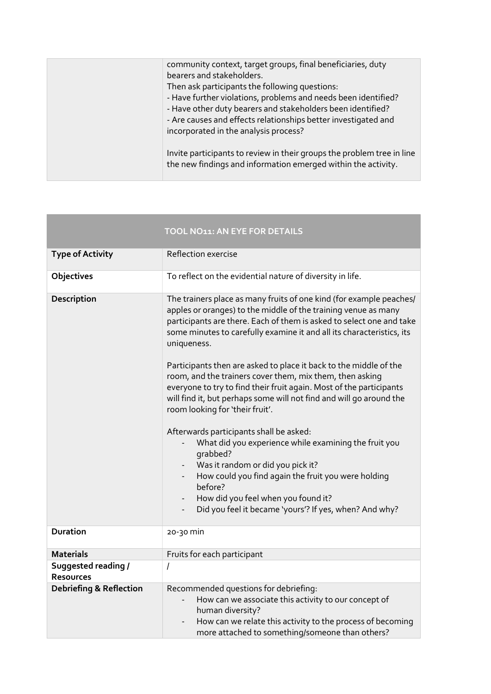| community context, target groups, final beneficiaries, duty<br>bearers and stakeholders.                                                                               |
|------------------------------------------------------------------------------------------------------------------------------------------------------------------------|
| Then ask participants the following questions:                                                                                                                         |
| - Have further violations, problems and needs been identified?                                                                                                         |
| - Have other duty bearers and stakeholders been identified?<br>- Are causes and effects relationships better investigated and<br>incorporated in the analysis process? |
| Invite participants to review in their groups the problem tree in line<br>the new findings and information emerged within the activity.                                |

|                                         | TOOL NO11: AN EYE FOR DETAILS                                                                                                                                                                                                                                                                                                                                                                                                                                                                         |
|-----------------------------------------|-------------------------------------------------------------------------------------------------------------------------------------------------------------------------------------------------------------------------------------------------------------------------------------------------------------------------------------------------------------------------------------------------------------------------------------------------------------------------------------------------------|
| <b>Type of Activity</b>                 | Reflection exercise                                                                                                                                                                                                                                                                                                                                                                                                                                                                                   |
| Objectives                              | To reflect on the evidential nature of diversity in life.                                                                                                                                                                                                                                                                                                                                                                                                                                             |
| <b>Description</b>                      | The trainers place as many fruits of one kind (for example peaches/<br>apples or oranges) to the middle of the training venue as many<br>participants are there. Each of them is asked to select one and take<br>some minutes to carefully examine it and all its characteristics, its<br>uniqueness.<br>Participants then are asked to place it back to the middle of the<br>room, and the trainers cover them, mix them, then asking                                                                |
|                                         | everyone to try to find their fruit again. Most of the participants<br>will find it, but perhaps some will not find and will go around the<br>room looking for 'their fruit'.<br>Afterwards participants shall be asked:<br>What did you experience while examining the fruit you<br>qrabbed?<br>Was it random or did you pick it?<br>How could you find again the fruit you were holding<br>before?<br>How did you feel when you found it?<br>Did you feel it became 'yours'? If yes, when? And why? |
| <b>Duration</b>                         | 20-30 min                                                                                                                                                                                                                                                                                                                                                                                                                                                                                             |
| Materials                               | Fruits for each participant                                                                                                                                                                                                                                                                                                                                                                                                                                                                           |
| Suggested reading /<br><b>Resources</b> | $\overline{I}$                                                                                                                                                                                                                                                                                                                                                                                                                                                                                        |
| <b>Debriefing &amp; Reflection</b>      | Recommended questions for debriefing:<br>How can we associate this activity to our concept of<br>human diversity?<br>How can we relate this activity to the process of becoming<br>more attached to something/someone than others?                                                                                                                                                                                                                                                                    |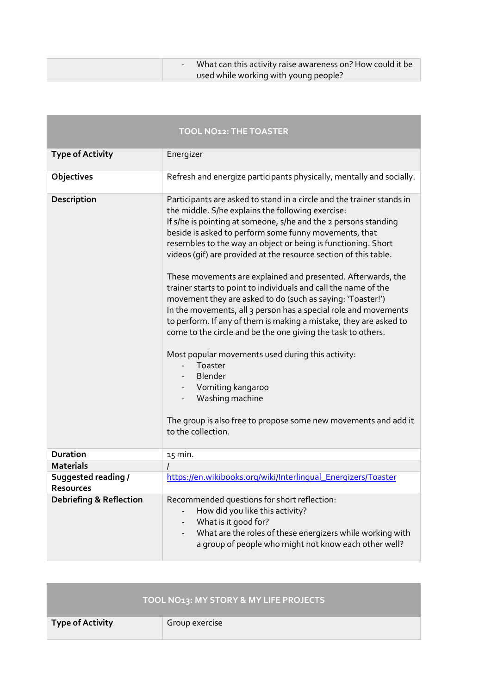| - What can this activity raise awareness on? How could it be |
|--------------------------------------------------------------|
| used while working with young people?                        |

|                                         | <b>TOOL NO12: THE TOASTER</b>                                                                                                                                                                                                                                                                                                                                                                                                                                                                                                                                                                                                                                                                                                                                                                                                                                                                                                                                                                                           |
|-----------------------------------------|-------------------------------------------------------------------------------------------------------------------------------------------------------------------------------------------------------------------------------------------------------------------------------------------------------------------------------------------------------------------------------------------------------------------------------------------------------------------------------------------------------------------------------------------------------------------------------------------------------------------------------------------------------------------------------------------------------------------------------------------------------------------------------------------------------------------------------------------------------------------------------------------------------------------------------------------------------------------------------------------------------------------------|
| <b>Type of Activity</b>                 | Energizer                                                                                                                                                                                                                                                                                                                                                                                                                                                                                                                                                                                                                                                                                                                                                                                                                                                                                                                                                                                                               |
| Objectives                              | Refresh and energize participants physically, mentally and socially.                                                                                                                                                                                                                                                                                                                                                                                                                                                                                                                                                                                                                                                                                                                                                                                                                                                                                                                                                    |
| Description                             | Participants are asked to stand in a circle and the trainer stands in<br>the middle. S/he explains the following exercise:<br>If s/he is pointing at someone, s/he and the 2 persons standing<br>beside is asked to perform some funny movements, that<br>resembles to the way an object or being is functioning. Short<br>videos (gif) are provided at the resource section of this table.<br>These movements are explained and presented. Afterwards, the<br>trainer starts to point to individuals and call the name of the<br>movement they are asked to do (such as saying: 'Toaster!')<br>In the movements, all 3 person has a special role and movements<br>to perform. If any of them is making a mistake, they are asked to<br>come to the circle and be the one giving the task to others.<br>Most popular movements used during this activity:<br>Toaster<br><b>Blender</b><br>Vomiting kangaroo<br>Washing machine<br>The group is also free to propose some new movements and add it<br>to the collection. |
| <b>Duration</b>                         | 15 min.                                                                                                                                                                                                                                                                                                                                                                                                                                                                                                                                                                                                                                                                                                                                                                                                                                                                                                                                                                                                                 |
| <b>Materials</b>                        |                                                                                                                                                                                                                                                                                                                                                                                                                                                                                                                                                                                                                                                                                                                                                                                                                                                                                                                                                                                                                         |
| Suggested reading /<br><b>Resources</b> | https://en.wikibooks.org/wiki/Interlingual_Energizers/Toaster                                                                                                                                                                                                                                                                                                                                                                                                                                                                                                                                                                                                                                                                                                                                                                                                                                                                                                                                                           |
| <b>Debriefing &amp; Reflection</b>      | Recommended questions for short reflection:<br>How did you like this activity?<br>What is it good for?<br>What are the roles of these energizers while working with<br>a group of people who might not know each other well?                                                                                                                                                                                                                                                                                                                                                                                                                                                                                                                                                                                                                                                                                                                                                                                            |

| TOOL NO13: MY STORY & MY LIFE PROJECTS |                |
|----------------------------------------|----------------|
| <b>Type of Activity</b>                | Group exercise |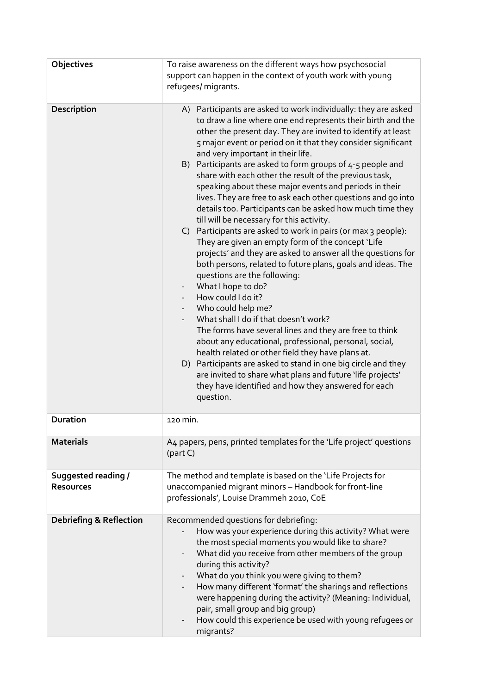| Objectives                              | To raise awareness on the different ways how psychosocial<br>support can happen in the context of youth work with young<br>refugees/ migrants.                                                                                                                                                                                                                                                                                                                                                                                                                                                                                                                                                                                                                                                                                                                                                                                                                                                                                                                                                                                                                                                                                                                                                                                                                                                                                                                          |
|-----------------------------------------|-------------------------------------------------------------------------------------------------------------------------------------------------------------------------------------------------------------------------------------------------------------------------------------------------------------------------------------------------------------------------------------------------------------------------------------------------------------------------------------------------------------------------------------------------------------------------------------------------------------------------------------------------------------------------------------------------------------------------------------------------------------------------------------------------------------------------------------------------------------------------------------------------------------------------------------------------------------------------------------------------------------------------------------------------------------------------------------------------------------------------------------------------------------------------------------------------------------------------------------------------------------------------------------------------------------------------------------------------------------------------------------------------------------------------------------------------------------------------|
| Description                             | A) Participants are asked to work individually: they are asked<br>to draw a line where one end represents their birth and the<br>other the present day. They are invited to identify at least<br>5 major event or period on it that they consider significant<br>and very important in their life.<br>B) Participants are asked to form groups of 4-5 people and<br>share with each other the result of the previous task,<br>speaking about these major events and periods in their<br>lives. They are free to ask each other questions and go into<br>details too. Participants can be asked how much time they<br>till will be necessary for this activity.<br>C) Participants are asked to work in pairs (or max 3 people):<br>They are given an empty form of the concept 'Life<br>projects' and they are asked to answer all the questions for<br>both persons, related to future plans, goals and ideas. The<br>questions are the following:<br>What I hope to do?<br>$\overline{\phantom{a}}$<br>How could I do it?<br>Who could help me?<br>What shall I do if that doesn't work?<br>The forms have several lines and they are free to think<br>about any educational, professional, personal, social,<br>health related or other field they have plans at.<br>D) Participants are asked to stand in one big circle and they<br>are invited to share what plans and future 'life projects'<br>they have identified and how they answered for each<br>question. |
| <b>Duration</b>                         | 120 min.                                                                                                                                                                                                                                                                                                                                                                                                                                                                                                                                                                                                                                                                                                                                                                                                                                                                                                                                                                                                                                                                                                                                                                                                                                                                                                                                                                                                                                                                |
| <b>Materials</b>                        | A4 papers, pens, printed templates for the 'Life project' questions<br>(part C)                                                                                                                                                                                                                                                                                                                                                                                                                                                                                                                                                                                                                                                                                                                                                                                                                                                                                                                                                                                                                                                                                                                                                                                                                                                                                                                                                                                         |
| Suggested reading /<br><b>Resources</b> | The method and template is based on the 'Life Projects for<br>unaccompanied migrant minors - Handbook for front-line<br>professionals', Louise Drammeh 2010, CoE                                                                                                                                                                                                                                                                                                                                                                                                                                                                                                                                                                                                                                                                                                                                                                                                                                                                                                                                                                                                                                                                                                                                                                                                                                                                                                        |
| <b>Debriefing &amp; Reflection</b>      | Recommended questions for debriefing:<br>How was your experience during this activity? What were<br>the most special moments you would like to share?<br>What did you receive from other members of the group<br>during this activity?<br>What do you think you were giving to them?<br>How many different 'format' the sharings and reflections<br>were happening during the activity? (Meaning: Individual,<br>pair, small group and big group)<br>How could this experience be used with young refugees or<br>migrants?                                                                                                                                                                                                                                                                                                                                                                                                                                                                                                                                                                                                                                                                                                                                                                                                                                                                                                                                              |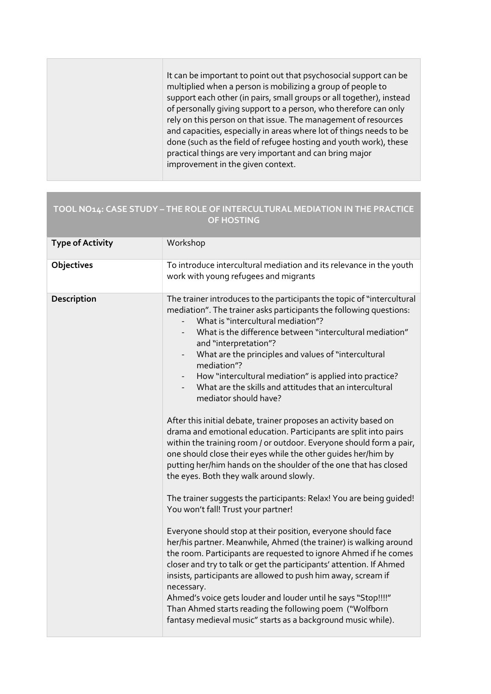It can be important to point out that psychosocial support can be multiplied when a person is mobilizing a group of people to support each other (in pairs, small groups or all together), instead of personally giving support to a person, who therefore can only rely on this person on that issue. The management of resources and capacities, especially in areas where lot of things needs to be done (such as the field of refugee hosting and youth work), these practical things are very important and can bring major improvement in the given context.

### TOOL NO14: CASE STUDY – THE ROLE OF INTERCULTURAL MEDIATION IN THE PRACTICE OF HOSTING

| <b>Type of Activity</b> | Workshop                                                                                                                                                                                                                                                                                                                                                                                                                                                                                                                                                                                                                                                                                                                                                                                                                                                                                                                                                                                                                                                                                                                                                                                                                                                                                                                                                                                                                                                                                                                                                                                                       |
|-------------------------|----------------------------------------------------------------------------------------------------------------------------------------------------------------------------------------------------------------------------------------------------------------------------------------------------------------------------------------------------------------------------------------------------------------------------------------------------------------------------------------------------------------------------------------------------------------------------------------------------------------------------------------------------------------------------------------------------------------------------------------------------------------------------------------------------------------------------------------------------------------------------------------------------------------------------------------------------------------------------------------------------------------------------------------------------------------------------------------------------------------------------------------------------------------------------------------------------------------------------------------------------------------------------------------------------------------------------------------------------------------------------------------------------------------------------------------------------------------------------------------------------------------------------------------------------------------------------------------------------------------|
| Objectives              | To introduce intercultural mediation and its relevance in the youth<br>work with young refugees and migrants                                                                                                                                                                                                                                                                                                                                                                                                                                                                                                                                                                                                                                                                                                                                                                                                                                                                                                                                                                                                                                                                                                                                                                                                                                                                                                                                                                                                                                                                                                   |
| Description             | The trainer introduces to the participants the topic of "intercultural<br>mediation". The trainer asks participants the following questions:<br>What is "intercultural mediation"?<br>What is the difference between "intercultural mediation"<br>and "interpretation"?<br>What are the principles and values of "intercultural<br>$\overline{\phantom{a}}$<br>mediation"?<br>How "intercultural mediation" is applied into practice?<br>$\sim 10$<br>What are the skills and attitudes that an intercultural<br>mediator should have?<br>After this initial debate, trainer proposes an activity based on<br>drama and emotional education. Participants are split into pairs<br>within the training room / or outdoor. Everyone should form a pair,<br>one should close their eyes while the other guides her/him by<br>putting her/him hands on the shoulder of the one that has closed<br>the eyes. Both they walk around slowly.<br>The trainer suggests the participants: Relax! You are being guided!<br>You won't fall! Trust your partner!<br>Everyone should stop at their position, everyone should face<br>her/his partner. Meanwhile, Ahmed (the trainer) is walking around<br>the room. Participants are requested to ignore Ahmed if he comes<br>closer and try to talk or get the participants' attention. If Ahmed<br>insists, participants are allowed to push him away, scream if<br>necessary.<br>Ahmed's voice gets louder and louder until he says "Stop!!!!"<br>Than Ahmed starts reading the following poem ("Wolfborn<br>fantasy medieval music" starts as a background music while). |
|                         |                                                                                                                                                                                                                                                                                                                                                                                                                                                                                                                                                                                                                                                                                                                                                                                                                                                                                                                                                                                                                                                                                                                                                                                                                                                                                                                                                                                                                                                                                                                                                                                                                |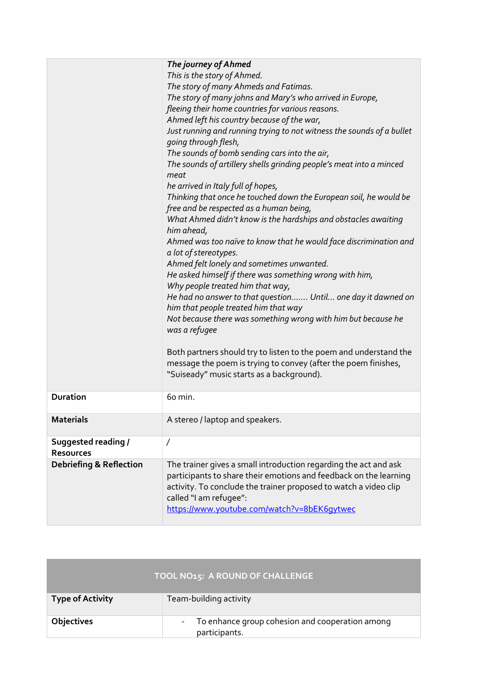|                                    | The journey of Ahmed                                                                                         |
|------------------------------------|--------------------------------------------------------------------------------------------------------------|
|                                    | This is the story of Ahmed.                                                                                  |
|                                    | The story of many Ahmeds and Fatimas.                                                                        |
|                                    | The story of many johns and Mary's who arrived in Europe,                                                    |
|                                    | fleeing their home countries for various reasons.                                                            |
|                                    | Ahmed left his country because of the war,                                                                   |
|                                    | Just running and running trying to not witness the sounds of a bullet<br>going through flesh,                |
|                                    | The sounds of bomb sending cars into the air,                                                                |
|                                    | The sounds of artillery shells grinding people's meat into a minced<br>meat                                  |
|                                    | he arrived in Italy full of hopes,                                                                           |
|                                    | Thinking that once he touched down the European soil, he would be<br>free and be respected as a human being, |
|                                    | What Ahmed didn't know is the hardships and obstacles awaiting<br>him ahead,                                 |
|                                    | Ahmed was too naïve to know that he would face discrimination and                                            |
|                                    | a lot of stereotypes.                                                                                        |
|                                    | Ahmed felt lonely and sometimes unwanted.                                                                    |
|                                    | He asked himself if there was something wrong with him,                                                      |
|                                    | Why people treated him that way,                                                                             |
|                                    | He had no answer to that question Until one day it dawned on                                                 |
|                                    | him that people treated him that way                                                                         |
|                                    | Not because there was something wrong with him but because he                                                |
|                                    | was a refugee                                                                                                |
|                                    | Both partners should try to listen to the poem and understand the                                            |
|                                    | message the poem is trying to convey (after the poem finishes,                                               |
|                                    | "Suiseady" music starts as a background).                                                                    |
|                                    |                                                                                                              |
| <b>Duration</b>                    | 60 min.                                                                                                      |
| <b>Materials</b>                   | A stereo / laptop and speakers.                                                                              |
| Suggested reading /                | $\prime$                                                                                                     |
| <b>Resources</b>                   |                                                                                                              |
| <b>Debriefing &amp; Reflection</b> | The trainer gives a small introduction regarding the act and ask                                             |
|                                    | participants to share their emotions and feedback on the learning                                            |
|                                    | activity. To conclude the trainer proposed to watch a video clip                                             |
|                                    | called "I am refugee":                                                                                       |
|                                    | https://www.youtube.com/watch?v=8bEK6qytwec                                                                  |
|                                    |                                                                                                              |

| TOOL NO15: A ROUND OF CHALLENGE |                                                                                              |
|---------------------------------|----------------------------------------------------------------------------------------------|
| <b>Type of Activity</b>         | Team-building activity                                                                       |
| Objectives                      | To enhance group cohesion and cooperation among<br>$\overline{\phantom{a}}$<br>participants. |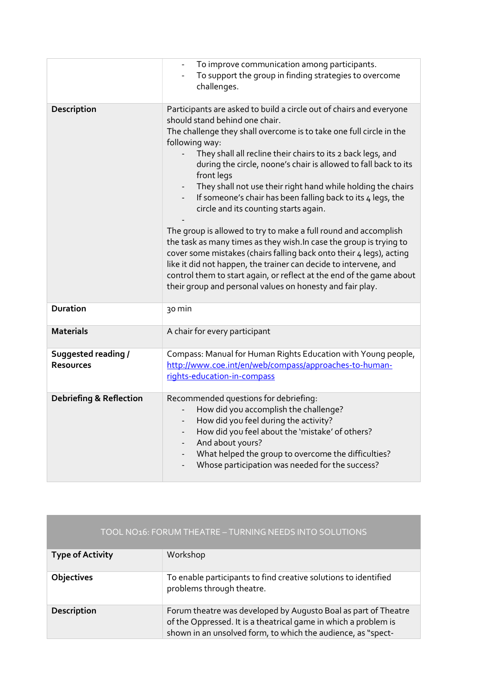|                                         | To improve communication among participants.<br>To support the group in finding strategies to overcome<br>challenges.                                                                                                                                                                                                                                                                                                                                                                                                                                                                                                                                                                                                                                                                                                                                                                                                                            |
|-----------------------------------------|--------------------------------------------------------------------------------------------------------------------------------------------------------------------------------------------------------------------------------------------------------------------------------------------------------------------------------------------------------------------------------------------------------------------------------------------------------------------------------------------------------------------------------------------------------------------------------------------------------------------------------------------------------------------------------------------------------------------------------------------------------------------------------------------------------------------------------------------------------------------------------------------------------------------------------------------------|
| Description                             | Participants are asked to build a circle out of chairs and everyone<br>should stand behind one chair.<br>The challenge they shall overcome is to take one full circle in the<br>following way:<br>They shall all recline their chairs to its 2 back legs, and<br>during the circle, noone's chair is allowed to fall back to its<br>front legs<br>They shall not use their right hand while holding the chairs<br>If someone's chair has been falling back to its 4 legs, the<br>circle and its counting starts again.<br>The group is allowed to try to make a full round and accomplish<br>the task as many times as they wish. In case the group is trying to<br>cover some mistakes (chairs falling back onto their 4 legs), acting<br>like it did not happen, the trainer can decide to intervene, and<br>control them to start again, or reflect at the end of the game about<br>their group and personal values on honesty and fair play. |
| <b>Duration</b>                         | 30 min                                                                                                                                                                                                                                                                                                                                                                                                                                                                                                                                                                                                                                                                                                                                                                                                                                                                                                                                           |
| <b>Materials</b>                        | A chair for every participant                                                                                                                                                                                                                                                                                                                                                                                                                                                                                                                                                                                                                                                                                                                                                                                                                                                                                                                    |
| Suggested reading /<br><b>Resources</b> | Compass: Manual for Human Rights Education with Young people,<br>http://www.coe.int/en/web/compass/approaches-to-human-<br>rights-education-in-compass                                                                                                                                                                                                                                                                                                                                                                                                                                                                                                                                                                                                                                                                                                                                                                                           |
| <b>Debriefing &amp; Reflection</b>      | Recommended questions for debriefing:<br>How did you accomplish the challenge?<br>How did you feel during the activity?<br>How did you feel about the 'mistake' of others?<br>$\overline{\phantom{a}}$<br>And about yours?<br>$\overline{\phantom{a}}$<br>What helped the group to overcome the difficulties?<br>$\overline{\phantom{a}}$<br>Whose participation was needed for the success?                                                                                                                                                                                                                                                                                                                                                                                                                                                                                                                                                     |

| TOOL NO16: FORUM THEATRE - TURNING NEEDS INTO SOLUTIONS |                                                                                                                                                                                                   |
|---------------------------------------------------------|---------------------------------------------------------------------------------------------------------------------------------------------------------------------------------------------------|
| <b>Type of Activity</b>                                 | Workshop                                                                                                                                                                                          |
| <b>Objectives</b>                                       | To enable participants to find creative solutions to identified<br>problems through theatre.                                                                                                      |
| Description                                             | Forum theatre was developed by Augusto Boal as part of Theatre<br>of the Oppressed. It is a theatrical game in which a problem is<br>shown in an unsolved form, to which the audience, as "spect- |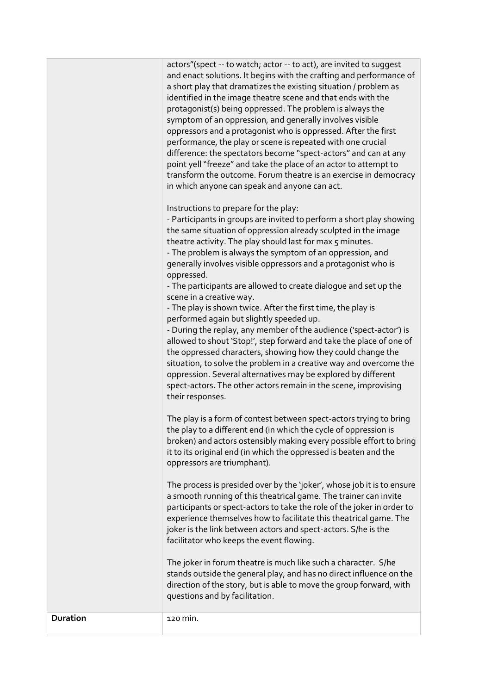| and enact solutions. It begins with the crafting and performance of |
|---------------------------------------------------------------------|
| a short play that dramatizes the existing situation / problem as    |
| identified in the image theatre scene and that ends with the        |
| protagonist(s) being oppressed. The problem is always the           |
| symptom of an oppression, and generally involves visible            |
| oppressors and a protagonist who is oppressed. After the first      |
| performance, the play or scene is repeated with one crucial         |
| difference: the spectators become "spect-actors" and can at any     |
| point yell "freeze" and take the place of an actor to attempt to    |
| transform the outcome. Forum theatre is an exercise in democracy    |
| in which anyone can speak and anyone can act.                       |

Instructions to prepare for the play:

- Participants in groups are invited to perform a short play showing the same situation of oppression already sculpted in the image theatre activity. The play should last for max 5 minutes.

- The problem is always the symptom of an oppression, and generally involves visible oppressors and a protagonist who is oppressed.

- The participants are allowed to create dialogue and set up the scene in a creative way.

- The play is shown twice. After the first time, the play is performed again but slightly speeded up.

- During the replay, any member of the audience ('spect-actor') is allowed to shout 'Stop!', step forward and take the place of one of the oppressed characters, showing how they could change the situation, to solve the problem in a creative way and overcome the oppression. Several alternatives may be explored by different spect-actors. The other actors remain in the scene, improvising their responses.

The play is a form of contest between spect-actors trying to bring the play to a different end (in which the cycle of oppression is broken) and actors ostensibly making every possible effort to bring it to its original end (in which the oppressed is beaten and the oppressors are triumphant).

The process is presided over by the 'joker', whose job it is to ensure a smooth running of this theatrical game. The trainer can invite participants or spect-actors to take the role of the joker in order to experience themselves how to facilitate this theatrical game. The joker is the link between actors and spect-actors. S/he is the facilitator who keeps the event flowing.

The joker in forum theatre is much like such a character. S/he stands outside the general play, and has no direct influence on the direction of the story, but is able to move the group forward, with questions and by facilitation.

Duration 120 min.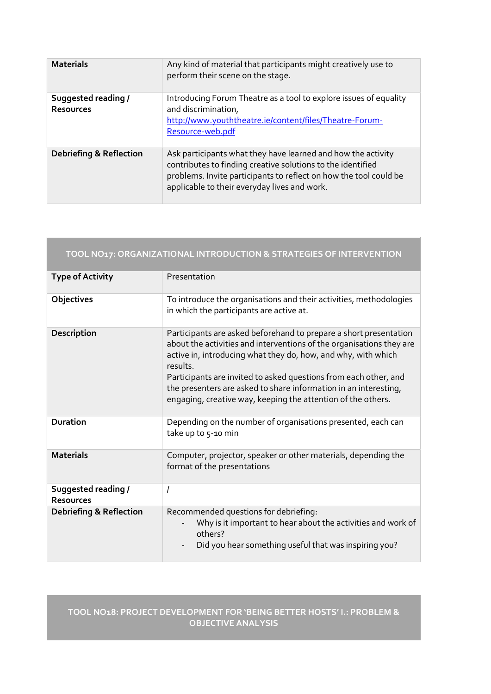| <b>Materials</b>                        | Any kind of material that participants might creatively use to<br>perform their scene on the stage.                                                                                                                                              |
|-----------------------------------------|--------------------------------------------------------------------------------------------------------------------------------------------------------------------------------------------------------------------------------------------------|
| Suggested reading /<br><b>Resources</b> | Introducing Forum Theatre as a tool to explore issues of equality<br>and discrimination,<br>http://www.youththeatre.ie/content/files/Theatre-Forum-<br>Resource-web.pdf                                                                          |
| <b>Debriefing &amp; Reflection</b>      | Ask participants what they have learned and how the activity<br>contributes to finding creative solutions to the identified<br>problems. Invite participants to reflect on how the tool could be<br>applicable to their everyday lives and work. |

| TOOL NO17: ORGANIZATIONAL INTRODUCTION & STRATEGIES OF INTERVENTION |                                                                                                                                                                                                                                                                                                                                                                                                                                |
|---------------------------------------------------------------------|--------------------------------------------------------------------------------------------------------------------------------------------------------------------------------------------------------------------------------------------------------------------------------------------------------------------------------------------------------------------------------------------------------------------------------|
| <b>Type of Activity</b>                                             | Presentation                                                                                                                                                                                                                                                                                                                                                                                                                   |
| Objectives                                                          | To introduce the organisations and their activities, methodologies<br>in which the participants are active at.                                                                                                                                                                                                                                                                                                                 |
| Description                                                         | Participants are asked beforehand to prepare a short presentation<br>about the activities and interventions of the organisations they are<br>active in, introducing what they do, how, and why, with which<br>results.<br>Participants are invited to asked questions from each other, and<br>the presenters are asked to share information in an interesting,<br>engaging, creative way, keeping the attention of the others. |
| <b>Duration</b>                                                     | Depending on the number of organisations presented, each can<br>take up to 5-10 min                                                                                                                                                                                                                                                                                                                                            |
| <b>Materials</b>                                                    | Computer, projector, speaker or other materials, depending the<br>format of the presentations                                                                                                                                                                                                                                                                                                                                  |
| <b>Suggested reading /</b><br><b>Resources</b>                      | 1                                                                                                                                                                                                                                                                                                                                                                                                                              |
| <b>Debriefing &amp; Reflection</b>                                  | Recommended questions for debriefing:<br>Why is it important to hear about the activities and work of<br>others?<br>Did you hear something useful that was inspiring you?                                                                                                                                                                                                                                                      |

#### TOOL NO18: PROJECT DEVELOPMENT FOR 'BEING BETTER HOSTS' I.: PROBLEM & OBJECTIVE ANALYSIS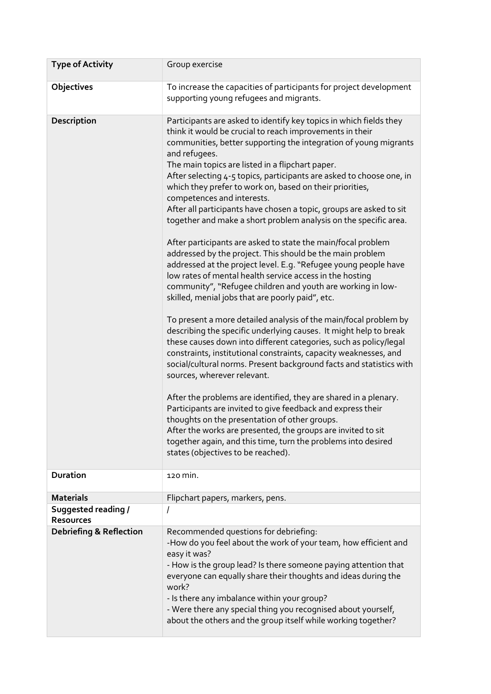| <b>Type of Activity</b>                        | Group exercise                                                                                                                                                                                                                                                                                                                                                                                                                                                                                                                                                                                                                                                                                                                                                                                                                                                                                                                                                                                                                                                                                                                                                                                                                                                                                                                                                                                                                                                                                                                                                                                                                                                                                                         |
|------------------------------------------------|------------------------------------------------------------------------------------------------------------------------------------------------------------------------------------------------------------------------------------------------------------------------------------------------------------------------------------------------------------------------------------------------------------------------------------------------------------------------------------------------------------------------------------------------------------------------------------------------------------------------------------------------------------------------------------------------------------------------------------------------------------------------------------------------------------------------------------------------------------------------------------------------------------------------------------------------------------------------------------------------------------------------------------------------------------------------------------------------------------------------------------------------------------------------------------------------------------------------------------------------------------------------------------------------------------------------------------------------------------------------------------------------------------------------------------------------------------------------------------------------------------------------------------------------------------------------------------------------------------------------------------------------------------------------------------------------------------------------|
| Objectives                                     | To increase the capacities of participants for project development<br>supporting young refugees and migrants.                                                                                                                                                                                                                                                                                                                                                                                                                                                                                                                                                                                                                                                                                                                                                                                                                                                                                                                                                                                                                                                                                                                                                                                                                                                                                                                                                                                                                                                                                                                                                                                                          |
| Description                                    | Participants are asked to identify key topics in which fields they<br>think it would be crucial to reach improvements in their<br>communities, better supporting the integration of young migrants<br>and refugees.<br>The main topics are listed in a flipchart paper.<br>After selecting 4-5 topics, participants are asked to choose one, in<br>which they prefer to work on, based on their priorities,<br>competences and interests.<br>After all participants have chosen a topic, groups are asked to sit<br>together and make a short problem analysis on the specific area.<br>After participants are asked to state the main/focal problem<br>addressed by the project. This should be the main problem<br>addressed at the project level. E.g. "Refugee young people have<br>low rates of mental health service access in the hosting<br>community", "Refugee children and youth are working in low-<br>skilled, menial jobs that are poorly paid", etc.<br>To present a more detailed analysis of the main/focal problem by<br>describing the specific underlying causes. It might help to break<br>these causes down into different categories, such as policy/legal<br>constraints, institutional constraints, capacity weaknesses, and<br>social/cultural norms. Present background facts and statistics with<br>sources, wherever relevant.<br>After the problems are identified, they are shared in a plenary.<br>Participants are invited to give feedback and express their<br>thoughts on the presentation of other groups.<br>After the works are presented, the groups are invited to sit<br>together again, and this time, turn the problems into desired<br>states (objectives to be reached). |
| <b>Duration</b>                                | 120 min.                                                                                                                                                                                                                                                                                                                                                                                                                                                                                                                                                                                                                                                                                                                                                                                                                                                                                                                                                                                                                                                                                                                                                                                                                                                                                                                                                                                                                                                                                                                                                                                                                                                                                                               |
| <b>Materials</b>                               | Flipchart papers, markers, pens.                                                                                                                                                                                                                                                                                                                                                                                                                                                                                                                                                                                                                                                                                                                                                                                                                                                                                                                                                                                                                                                                                                                                                                                                                                                                                                                                                                                                                                                                                                                                                                                                                                                                                       |
| <b>Suggested reading /</b><br><b>Resources</b> | Ι                                                                                                                                                                                                                                                                                                                                                                                                                                                                                                                                                                                                                                                                                                                                                                                                                                                                                                                                                                                                                                                                                                                                                                                                                                                                                                                                                                                                                                                                                                                                                                                                                                                                                                                      |
| <b>Debriefing &amp; Reflection</b>             | Recommended questions for debriefing:<br>-How do you feel about the work of your team, how efficient and<br>easy it was?<br>- How is the group lead? Is there someone paying attention that<br>everyone can equally share their thoughts and ideas during the<br>work?<br>- Is there any imbalance within your group?<br>- Were there any special thing you recognised about yourself,<br>about the others and the group itself while working together?                                                                                                                                                                                                                                                                                                                                                                                                                                                                                                                                                                                                                                                                                                                                                                                                                                                                                                                                                                                                                                                                                                                                                                                                                                                                |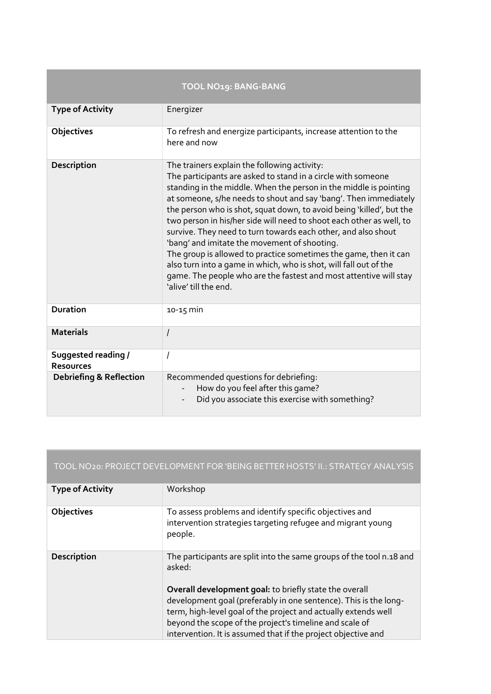|                                         | TOOL NO19: BANG-BANG                                                                                                                                                                                                                                                                                                                                                                                                                                                                                                                                                                                                                                                                                                                                          |
|-----------------------------------------|---------------------------------------------------------------------------------------------------------------------------------------------------------------------------------------------------------------------------------------------------------------------------------------------------------------------------------------------------------------------------------------------------------------------------------------------------------------------------------------------------------------------------------------------------------------------------------------------------------------------------------------------------------------------------------------------------------------------------------------------------------------|
| <b>Type of Activity</b>                 | Energizer                                                                                                                                                                                                                                                                                                                                                                                                                                                                                                                                                                                                                                                                                                                                                     |
| Objectives                              | To refresh and energize participants, increase attention to the<br>here and now                                                                                                                                                                                                                                                                                                                                                                                                                                                                                                                                                                                                                                                                               |
| Description                             | The trainers explain the following activity:<br>The participants are asked to stand in a circle with someone<br>standing in the middle. When the person in the middle is pointing<br>at someone, s/he needs to shout and say 'bang'. Then immediately<br>the person who is shot, squat down, to avoid being 'killed', but the<br>two person in his/her side will need to shoot each other as well, to<br>survive. They need to turn towards each other, and also shout<br>'bang' and imitate the movement of shooting.<br>The group is allowed to practice sometimes the game, then it can<br>also turn into a game in which, who is shot, will fall out of the<br>game. The people who are the fastest and most attentive will stay<br>'alive' till the end. |
| <b>Duration</b>                         | $10 - 15$ min                                                                                                                                                                                                                                                                                                                                                                                                                                                                                                                                                                                                                                                                                                                                                 |
| <b>Materials</b>                        | $\prime$                                                                                                                                                                                                                                                                                                                                                                                                                                                                                                                                                                                                                                                                                                                                                      |
| Suggested reading /<br><b>Resources</b> | I                                                                                                                                                                                                                                                                                                                                                                                                                                                                                                                                                                                                                                                                                                                                                             |
| <b>Debriefing &amp; Reflection</b>      | Recommended questions for debriefing:<br>How do you feel after this game?<br>Did you associate this exercise with something?                                                                                                                                                                                                                                                                                                                                                                                                                                                                                                                                                                                                                                  |

| TOOL NO20: PROJECT DEVELOPMENT FOR 'BEING BETTER HOSTS' II.: STRATEGY ANALYSIS |                                                                                                                                                                                                                                                                                                                                                                                                            |  |
|--------------------------------------------------------------------------------|------------------------------------------------------------------------------------------------------------------------------------------------------------------------------------------------------------------------------------------------------------------------------------------------------------------------------------------------------------------------------------------------------------|--|
| <b>Type of Activity</b>                                                        | Workshop                                                                                                                                                                                                                                                                                                                                                                                                   |  |
| Objectives                                                                     | To assess problems and identify specific objectives and<br>intervention strategies targeting refugee and migrant young<br>people.                                                                                                                                                                                                                                                                          |  |
| Description                                                                    | The participants are split into the same groups of the tool n.18 and<br>asked:<br>Overall development goal: to briefly state the overall<br>development goal (preferably in one sentence). This is the long-<br>term, high-level goal of the project and actually extends well<br>beyond the scope of the project's timeline and scale of<br>intervention. It is assumed that if the project objective and |  |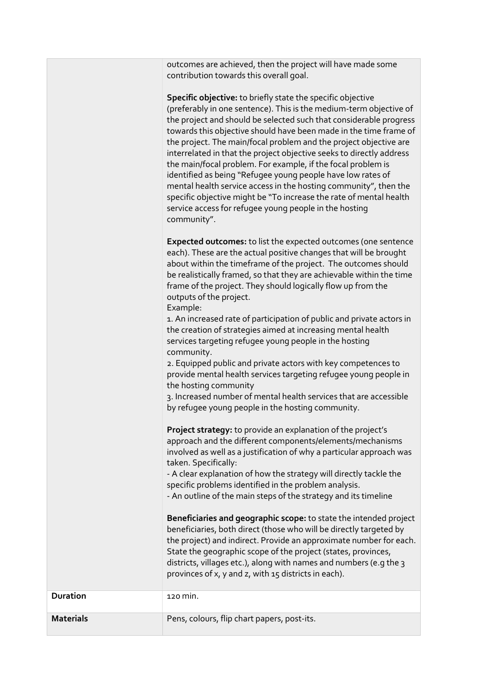outcomes are achieved, then the project will have made some contribution towards this overall goal.

Specific objective: to briefly state the specific objective (preferably in one sentence). This is the medium-term objective of the project and should be selected such that considerable progress towards this objective should have been made in the time frame of the project. The main/focal problem and the project objective are interrelated in that the project objective seeks to directly address the main/focal problem. For example, if the focal problem is identified as being "Refugee young people have low rates of mental health service access in the hosting community", then the specific objective might be "To increase the rate of mental health service access for refugee young people in the hosting community".

Expected outcomes: to list the expected outcomes (one sentence each). These are the actual positive changes that will be brought about within the timeframe of the project. The outcomes should be realistically framed, so that they are achievable within the time frame of the project. They should logically flow up from the outputs of the project.

Example:

1. An increased rate of participation of public and private actors in the creation of strategies aimed at increasing mental health services targeting refugee young people in the hosting community.

2. Equipped public and private actors with key competences to provide mental health services targeting refugee young people in the hosting community

3. Increased number of mental health services that are accessible by refugee young people in the hosting community.

Project strategy: to provide an explanation of the project's approach and the different components/elements/mechanisms involved as well as a justification of why a particular approach was taken. Specifically:

- A clear explanation of how the strategy will directly tackle the specific problems identified in the problem analysis.

- An outline of the main steps of the strategy and its timeline

Beneficiaries and geographic scope: to state the intended project beneficiaries, both direct (those who will be directly targeted by the project) and indirect. Provide an approximate number for each. State the geographic scope of the project (states, provinces, districts, villages etc.), along with names and numbers (e.g the 3 provinces of x, y and z, with 15 districts in each).

| <b>Duration</b>  | 120 MIN.                                    |
|------------------|---------------------------------------------|
| <b>Materials</b> | Pens, colours, flip chart papers, post-its. |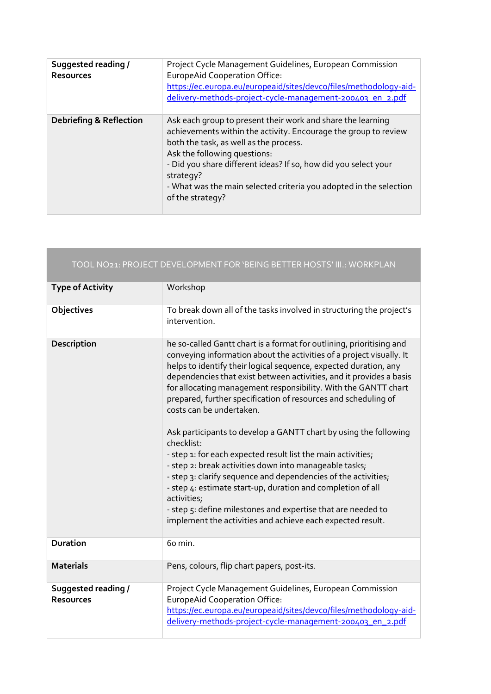| Suggested reading /<br><b>Resources</b> | Project Cycle Management Guidelines, European Commission<br><b>EuropeAid Cooperation Office:</b><br>https://ec.europa.eu/europeaid/sites/devco/files/methodology-aid-<br>delivery-methods-project-cycle-management-200403_en_2.pdf                                                                                                                                                 |
|-----------------------------------------|------------------------------------------------------------------------------------------------------------------------------------------------------------------------------------------------------------------------------------------------------------------------------------------------------------------------------------------------------------------------------------|
| <b>Debriefing &amp; Reflection</b>      | Ask each group to present their work and share the learning<br>achievements within the activity. Encourage the group to review<br>both the task, as well as the process.<br>Ask the following questions:<br>- Did you share different ideas? If so, how did you select your<br>strategy?<br>- What was the main selected criteria you adopted in the selection<br>of the strategy? |

a sa

|                                         | TOOL NO21: PROJECT DEVELOPMENT FOR 'BEING BETTER HOSTS' III.: WORKPLAN                                                                                                                                                                                                                                                                                                                                                                                                                                                                                                                                                                                                                                                                                                                                                                                                                                                                            |
|-----------------------------------------|---------------------------------------------------------------------------------------------------------------------------------------------------------------------------------------------------------------------------------------------------------------------------------------------------------------------------------------------------------------------------------------------------------------------------------------------------------------------------------------------------------------------------------------------------------------------------------------------------------------------------------------------------------------------------------------------------------------------------------------------------------------------------------------------------------------------------------------------------------------------------------------------------------------------------------------------------|
| <b>Type of Activity</b>                 | Workshop                                                                                                                                                                                                                                                                                                                                                                                                                                                                                                                                                                                                                                                                                                                                                                                                                                                                                                                                          |
| Objectives                              | To break down all of the tasks involved in structuring the project's<br>intervention.                                                                                                                                                                                                                                                                                                                                                                                                                                                                                                                                                                                                                                                                                                                                                                                                                                                             |
| Description                             | he so-called Gantt chart is a format for outlining, prioritising and<br>conveying information about the activities of a project visually. It<br>helps to identify their logical sequence, expected duration, any<br>dependencies that exist between activities, and it provides a basis<br>for allocating management responsibility. With the GANTT chart<br>prepared, further specification of resources and scheduling of<br>costs can be undertaken.<br>Ask participants to develop a GANTT chart by using the following<br>checklist:<br>- step 1: for each expected result list the main activities;<br>- step 2: break activities down into manageable tasks;<br>- step 3: clarify sequence and dependencies of the activities;<br>- step 4: estimate start-up, duration and completion of all<br>activities;<br>- step 5: define milestones and expertise that are needed to<br>implement the activities and achieve each expected result. |
| <b>Duration</b>                         | 60 min.                                                                                                                                                                                                                                                                                                                                                                                                                                                                                                                                                                                                                                                                                                                                                                                                                                                                                                                                           |
| <b>Materials</b>                        | Pens, colours, flip chart papers, post-its.                                                                                                                                                                                                                                                                                                                                                                                                                                                                                                                                                                                                                                                                                                                                                                                                                                                                                                       |
| Suggested reading /<br><b>Resources</b> | Project Cycle Management Guidelines, European Commission<br><b>EuropeAid Cooperation Office:</b><br>https://ec.europa.eu/europeaid/sites/devco/files/methodology-aid-<br>delivery-methods-project-cycle-management-200403_en_2.pdf                                                                                                                                                                                                                                                                                                                                                                                                                                                                                                                                                                                                                                                                                                                |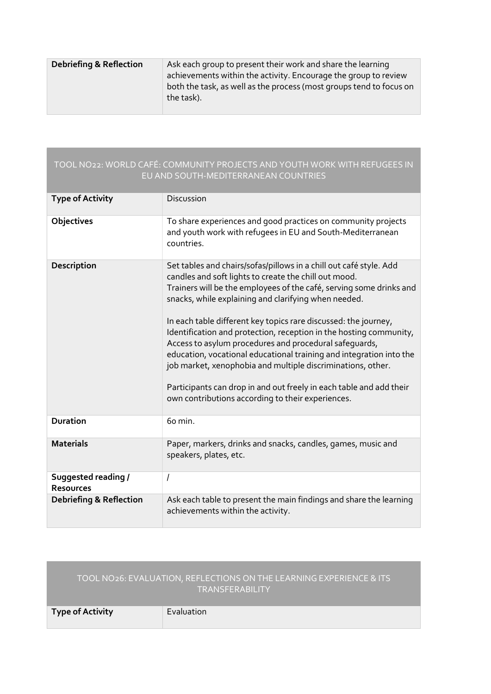| <b>Debriefing &amp; Reflection</b> | Ask each group to present their work and share the learning<br>achievements within the activity. Encourage the group to review<br>both the task, as well as the process (most groups tend to focus on<br>the task). |
|------------------------------------|---------------------------------------------------------------------------------------------------------------------------------------------------------------------------------------------------------------------|
|                                    |                                                                                                                                                                                                                     |

#### TOOL NO22: WORLD CAFÉ: COMMUNITY PROJECTS AND YOUTH WORK WITH REFUGEES IN EU AND SOUTH-MEDITERRANEAN COUNTRIES

| <b>Type of Activity</b>                        | Discussion                                                                                                                                                                                                                                                                                                                                                                                                                                                                                                                                                                                                                                                                                                                      |
|------------------------------------------------|---------------------------------------------------------------------------------------------------------------------------------------------------------------------------------------------------------------------------------------------------------------------------------------------------------------------------------------------------------------------------------------------------------------------------------------------------------------------------------------------------------------------------------------------------------------------------------------------------------------------------------------------------------------------------------------------------------------------------------|
| <b>Objectives</b>                              | To share experiences and good practices on community projects<br>and youth work with refugees in EU and South-Mediterranean<br>countries.                                                                                                                                                                                                                                                                                                                                                                                                                                                                                                                                                                                       |
| Description                                    | Set tables and chairs/sofas/pillows in a chill out café style. Add<br>candles and soft lights to create the chill out mood.<br>Trainers will be the employees of the café, serving some drinks and<br>snacks, while explaining and clarifying when needed.<br>In each table different key topics rare discussed: the journey,<br>Identification and protection, reception in the hosting community,<br>Access to asylum procedures and procedural safeguards,<br>education, vocational educational training and integration into the<br>job market, xenophobia and multiple discriminations, other.<br>Participants can drop in and out freely in each table and add their<br>own contributions according to their experiences. |
| <b>Duration</b>                                | 60 min.                                                                                                                                                                                                                                                                                                                                                                                                                                                                                                                                                                                                                                                                                                                         |
| <b>Materials</b>                               | Paper, markers, drinks and snacks, candles, games, music and<br>speakers, plates, etc.                                                                                                                                                                                                                                                                                                                                                                                                                                                                                                                                                                                                                                          |
| <b>Suggested reading /</b><br><b>Resources</b> | I                                                                                                                                                                                                                                                                                                                                                                                                                                                                                                                                                                                                                                                                                                                               |
| <b>Debriefing &amp; Reflection</b>             | Ask each table to present the main findings and share the learning<br>achievements within the activity.                                                                                                                                                                                                                                                                                                                                                                                                                                                                                                                                                                                                                         |

|                         | TOOL NO26: EVALUATION, REFLECTIONS ON THE LEARNING EXPERIENCE & ITS<br><b>TRANSFERABILITY</b> |
|-------------------------|-----------------------------------------------------------------------------------------------|
| <b>Type of Activity</b> | Evaluation                                                                                    |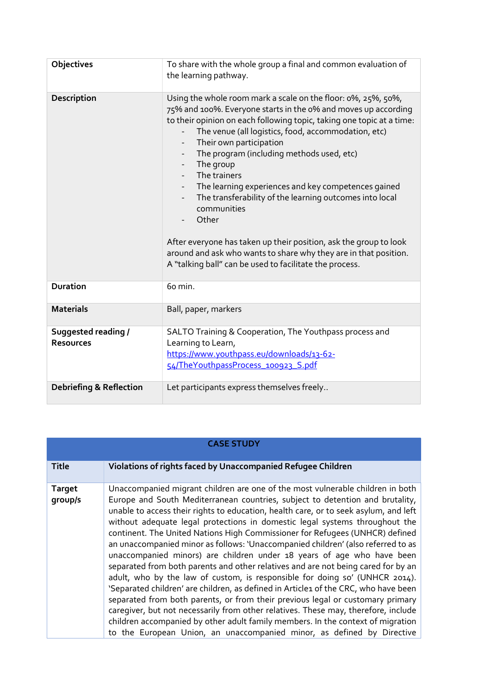| Objectives                              | To share with the whole group a final and common evaluation of<br>the learning pathway.                                                                                                                                                                                                                                                                                                                                                                                                                                                                                                                                                                                                                                                                                                                                                                                 |
|-----------------------------------------|-------------------------------------------------------------------------------------------------------------------------------------------------------------------------------------------------------------------------------------------------------------------------------------------------------------------------------------------------------------------------------------------------------------------------------------------------------------------------------------------------------------------------------------------------------------------------------------------------------------------------------------------------------------------------------------------------------------------------------------------------------------------------------------------------------------------------------------------------------------------------|
| Description                             | Using the whole room mark a scale on the floor: 0%, 25%, 50%,<br>75% and 100%. Everyone starts in the 0% and moves up according<br>to their opinion on each following topic, taking one topic at a time:<br>The venue (all logistics, food, accommodation, etc)<br>Their own participation<br>$\overline{\phantom{a}}$<br>The program (including methods used, etc)<br>$\overline{\phantom{a}}$<br>The group<br>$\overline{\phantom{a}}$<br>The trainers<br>$\overline{\phantom{a}}$<br>The learning experiences and key competences gained<br>$ \,$<br>The transferability of the learning outcomes into local<br>$\overline{\phantom{a}}$<br>communities<br>Other<br>After everyone has taken up their position, ask the group to look<br>around and ask who wants to share why they are in that position.<br>A "talking ball" can be used to facilitate the process. |
| <b>Duration</b>                         | 60 min.                                                                                                                                                                                                                                                                                                                                                                                                                                                                                                                                                                                                                                                                                                                                                                                                                                                                 |
| <b>Materials</b>                        | Ball, paper, markers                                                                                                                                                                                                                                                                                                                                                                                                                                                                                                                                                                                                                                                                                                                                                                                                                                                    |
| Suggested reading /<br><b>Resources</b> | SALTO Training & Cooperation, The Youthpass process and<br>Learning to Learn,<br>https://www.youthpass.eu/downloads/13-62-<br>54/TheYouthpassProcess 100923 S.pdf                                                                                                                                                                                                                                                                                                                                                                                                                                                                                                                                                                                                                                                                                                       |
| <b>Debriefing &amp; Reflection</b>      | Let participants express themselves freely                                                                                                                                                                                                                                                                                                                                                                                                                                                                                                                                                                                                                                                                                                                                                                                                                              |

| <b>CASE STUDY</b>        |                                                                                                                                                                                                                                                                                                                                                                                                                                                                                                                                                                                                                                                                                                                                                                                                                                                                                                                                                                                                                                                                                                                                                                                      |
|--------------------------|--------------------------------------------------------------------------------------------------------------------------------------------------------------------------------------------------------------------------------------------------------------------------------------------------------------------------------------------------------------------------------------------------------------------------------------------------------------------------------------------------------------------------------------------------------------------------------------------------------------------------------------------------------------------------------------------------------------------------------------------------------------------------------------------------------------------------------------------------------------------------------------------------------------------------------------------------------------------------------------------------------------------------------------------------------------------------------------------------------------------------------------------------------------------------------------|
| <b>Title</b>             | Violations of rights faced by Unaccompanied Refugee Children                                                                                                                                                                                                                                                                                                                                                                                                                                                                                                                                                                                                                                                                                                                                                                                                                                                                                                                                                                                                                                                                                                                         |
| <b>Target</b><br>group/s | Unaccompanied migrant children are one of the most vulnerable children in both<br>Europe and South Mediterranean countries, subject to detention and brutality,<br>unable to access their rights to education, health care, or to seek asylum, and left<br>without adequate legal protections in domestic legal systems throughout the<br>continent. The United Nations High Commissioner for Refugees (UNHCR) defined<br>an unaccompanied minor as follows: 'Unaccompanied children' (also referred to as<br>unaccompanied minors) are children under 18 years of age who have been<br>separated from both parents and other relatives and are not being cared for by an<br>adult, who by the law of custom, is responsible for doing so' (UNHCR 2014).<br>'Separated children' are children, as defined in Article1 of the CRC, who have been<br>separated from both parents, or from their previous legal or customary primary<br>caregiver, but not necessarily from other relatives. These may, therefore, include<br>children accompanied by other adult family members. In the context of migration<br>to the European Union, an unaccompanied minor, as defined by Directive |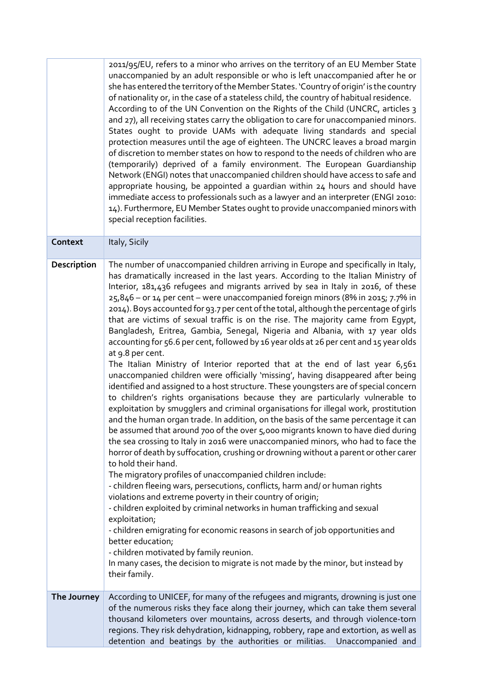|             | 2011/95/EU, refers to a minor who arrives on the territory of an EU Member State<br>unaccompanied by an adult responsible or who is left unaccompanied after he or<br>she has entered the territory of the Member States. 'Country of origin' is the country<br>of nationality or, in the case of a stateless child, the country of habitual residence.<br>According to of the UN Convention on the Rights of the Child (UNCRC, articles 3<br>and 27), all receiving states carry the obligation to care for unaccompanied minors.<br>States ought to provide UAMs with adequate living standards and special<br>protection measures until the age of eighteen. The UNCRC leaves a broad margin<br>of discretion to member states on how to respond to the needs of children who are<br>(temporarily) deprived of a family environment. The European Guardianship<br>Network (ENGI) notes that unaccompanied children should have access to safe and<br>appropriate housing, be appointed a guardian within 24 hours and should have<br>immediate access to professionals such as a lawyer and an interpreter (ENGI 2010:<br>14). Furthermore, EU Member States ought to provide unaccompanied minors with<br>special reception facilities.                                                                                                                                                                                                                                                                                                                                                                                                                                                                                                                                                                                                                                                                                                                                                                                                                                                                 |
|-------------|-------------------------------------------------------------------------------------------------------------------------------------------------------------------------------------------------------------------------------------------------------------------------------------------------------------------------------------------------------------------------------------------------------------------------------------------------------------------------------------------------------------------------------------------------------------------------------------------------------------------------------------------------------------------------------------------------------------------------------------------------------------------------------------------------------------------------------------------------------------------------------------------------------------------------------------------------------------------------------------------------------------------------------------------------------------------------------------------------------------------------------------------------------------------------------------------------------------------------------------------------------------------------------------------------------------------------------------------------------------------------------------------------------------------------------------------------------------------------------------------------------------------------------------------------------------------------------------------------------------------------------------------------------------------------------------------------------------------------------------------------------------------------------------------------------------------------------------------------------------------------------------------------------------------------------------------------------------------------------------------------------------------------------------------------------------------------------------------------------------|
| Context     | Italy, Sicily                                                                                                                                                                                                                                                                                                                                                                                                                                                                                                                                                                                                                                                                                                                                                                                                                                                                                                                                                                                                                                                                                                                                                                                                                                                                                                                                                                                                                                                                                                                                                                                                                                                                                                                                                                                                                                                                                                                                                                                                                                                                                               |
| Description | The number of unaccompanied children arriving in Europe and specifically in Italy,<br>has dramatically increased in the last years. According to the Italian Ministry of<br>Interior, 181,436 refugees and migrants arrived by sea in Italy in 2016, of these<br>25,846 - or 14 per cent - were unaccompanied foreign minors (8% in 2015; 7.7% in<br>2014). Boys accounted for 93.7 per cent of the total, although the percentage of girls<br>that are victims of sexual traffic is on the rise. The majority came from Egypt,<br>Bangladesh, Eritrea, Gambia, Senegal, Nigeria and Albania, with 17 year olds<br>accounting for 56.6 per cent, followed by 16 year olds at 26 per cent and 15 year olds<br>at 9.8 per cent.<br>The Italian Ministry of Interior reported that at the end of last year 6,561<br>unaccompanied children were officially 'missing', having disappeared after being<br>identified and assigned to a host structure. These youngsters are of special concern<br>to children's rights organisations because they are particularly vulnerable to<br>exploitation by smugglers and criminal organisations for illegal work, prostitution<br>and the human organ trade. In addition, on the basis of the same percentage it can<br>be assumed that around 700 of the over 5,000 migrants known to have died during<br>the sea crossing to Italy in 2016 were unaccompanied minors, who had to face the<br>horror of death by suffocation, crushing or drowning without a parent or other carer<br>to hold their hand.<br>The migratory profiles of unaccompanied children include:<br>- children fleeing wars, persecutions, conflicts, harm and/ or human rights<br>violations and extreme poverty in their country of origin;<br>- children exploited by criminal networks in human trafficking and sexual<br>exploitation;<br>- children emigrating for economic reasons in search of job opportunities and<br>better education;<br>- children motivated by family reunion.<br>In many cases, the decision to migrate is not made by the minor, but instead by<br>their family. |
| The Journey | According to UNICEF, for many of the refugees and migrants, drowning is just one<br>of the numerous risks they face along their journey, which can take them several                                                                                                                                                                                                                                                                                                                                                                                                                                                                                                                                                                                                                                                                                                                                                                                                                                                                                                                                                                                                                                                                                                                                                                                                                                                                                                                                                                                                                                                                                                                                                                                                                                                                                                                                                                                                                                                                                                                                        |
|             | thousand kilometers over mountains, across deserts, and through violence-torn<br>regions. They risk dehydration, kidnapping, robbery, rape and extortion, as well as<br>detention and beatings by the authorities or militias.<br>Unaccompanied and                                                                                                                                                                                                                                                                                                                                                                                                                                                                                                                                                                                                                                                                                                                                                                                                                                                                                                                                                                                                                                                                                                                                                                                                                                                                                                                                                                                                                                                                                                                                                                                                                                                                                                                                                                                                                                                         |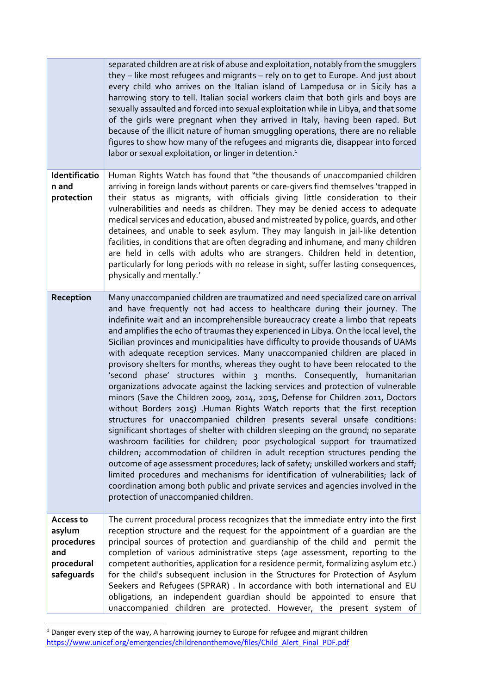|                                                                      | separated children are at risk of abuse and exploitation, notably from the smugglers<br>they - like most refugees and migrants - rely on to get to Europe. And just about<br>every child who arrives on the Italian island of Lampedusa or in Sicily has a<br>harrowing story to tell. Italian social workers claim that both girls and boys are<br>sexually assaulted and forced into sexual exploitation while in Libya, and that some<br>of the girls were pregnant when they arrived in Italy, having been raped. But<br>because of the illicit nature of human smuggling operations, there are no reliable<br>figures to show how many of the refugees and migrants die, disappear into forced<br>labor or sexual exploitation, or linger in detention. <sup>1</sup>                                                                                                                                                                                                                                                                                                                                                                                                                                                                                                                                                                                                                                                                                                                                                                                                 |
|----------------------------------------------------------------------|---------------------------------------------------------------------------------------------------------------------------------------------------------------------------------------------------------------------------------------------------------------------------------------------------------------------------------------------------------------------------------------------------------------------------------------------------------------------------------------------------------------------------------------------------------------------------------------------------------------------------------------------------------------------------------------------------------------------------------------------------------------------------------------------------------------------------------------------------------------------------------------------------------------------------------------------------------------------------------------------------------------------------------------------------------------------------------------------------------------------------------------------------------------------------------------------------------------------------------------------------------------------------------------------------------------------------------------------------------------------------------------------------------------------------------------------------------------------------------------------------------------------------------------------------------------------------|
| Identificatio<br>n and<br>protection                                 | Human Rights Watch has found that "the thousands of unaccompanied children<br>arriving in foreign lands without parents or care-givers find themselves 'trapped in<br>their status as migrants, with officials giving little consideration to their<br>vulnerabilities and needs as children. They may be denied access to adequate<br>medical services and education, abused and mistreated by police, guards, and other<br>detainees, and unable to seek asylum. They may languish in jail-like detention<br>facilities, in conditions that are often degrading and inhumane, and many children<br>are held in cells with adults who are strangers. Children held in detention,<br>particularly for long periods with no release in sight, suffer lasting consequences,<br>physically and mentally.'                                                                                                                                                                                                                                                                                                                                                                                                                                                                                                                                                                                                                                                                                                                                                                    |
| Reception                                                            | Many unaccompanied children are traumatized and need specialized care on arrival<br>and have frequently not had access to healthcare during their journey. The<br>indefinite wait and an incomprehensible bureaucracy create a limbo that repeats<br>and amplifies the echo of traumas they experienced in Libya. On the local level, the<br>Sicilian provinces and municipalities have difficulty to provide thousands of UAMs<br>with adequate reception services. Many unaccompanied children are placed in<br>provisory shelters for months, whereas they ought to have been relocated to the<br>'second phase' structures within 3 months. Consequently, humanitarian<br>organizations advocate against the lacking services and protection of vulnerable<br>minors (Save the Children 2009, 2014, 2015, Defense for Children 2011, Doctors<br>without Borders 2015) .Human Rights Watch reports that the first reception<br>structures for unaccompanied children presents several unsafe conditions:<br>significant shortages of shelter with children sleeping on the ground; no separate<br>washroom facilities for children; poor psychological support for traumatized<br>children; accommodation of children in adult reception structures pending the<br>outcome of age assessment procedures; lack of safety; unskilled workers and staff;<br>limited procedures and mechanisms for identification of vulnerabilities; lack of<br>coordination among both public and private services and agencies involved in the<br>protection of unaccompanied children. |
| Access to<br>asylum<br>procedures<br>and<br>procedural<br>safeguards | The current procedural process recognizes that the immediate entry into the first<br>reception structure and the request for the appointment of a guardian are the<br>principal sources of protection and quardianship of the child and permit the<br>completion of various administrative steps (age assessment, reporting to the<br>competent authorities, application for a residence permit, formalizing asylum etc.)<br>for the child's subsequent inclusion in the Structures for Protection of Asylum<br>Seekers and Refugees (SPRAR) . In accordance with both international and EU<br>obligations, an independent guardian should be appointed to ensure that<br>unaccompanied children are protected. However, the present system of                                                                                                                                                                                                                                                                                                                                                                                                                                                                                                                                                                                                                                                                                                                                                                                                                            |

 $<sup>1</sup>$  Danger every step of the way, A harrowing journey to Europe for refugee and migrant children</sup> https://www.unicef.org/emergencies/childrenonthemove/files/Child\_Alert\_Final\_PDF.pdf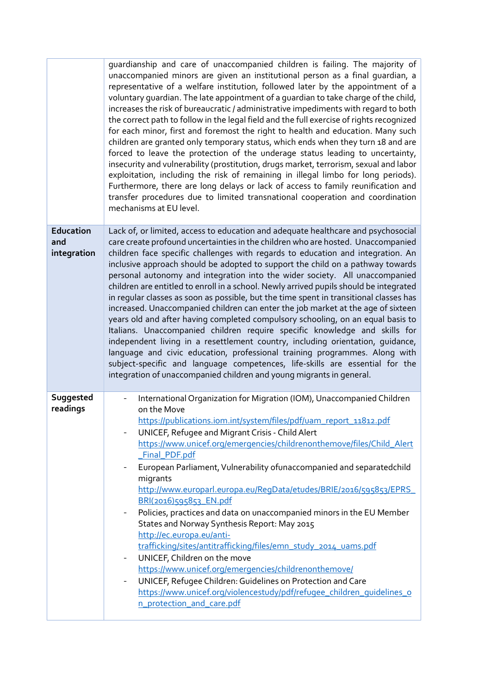|                                        | guardianship and care of unaccompanied children is failing. The majority of<br>unaccompanied minors are given an institutional person as a final guardian, a<br>representative of a welfare institution, followed later by the appointment of a<br>voluntary quardian. The late appointment of a quardian to take charge of the child,<br>increases the risk of bureaucratic / administrative impediments with regard to both<br>the correct path to follow in the legal field and the full exercise of rights recognized<br>for each minor, first and foremost the right to health and education. Many such<br>children are granted only temporary status, which ends when they turn 18 and are<br>forced to leave the protection of the underage status leading to uncertainty,<br>insecurity and vulnerability (prostitution, drugs market, terrorism, sexual and labor<br>exploitation, including the risk of remaining in illegal limbo for long periods).<br>Furthermore, there are long delays or lack of access to family reunification and<br>transfer procedures due to limited transnational cooperation and coordination<br>mechanisms at EU level.                            |
|----------------------------------------|--------------------------------------------------------------------------------------------------------------------------------------------------------------------------------------------------------------------------------------------------------------------------------------------------------------------------------------------------------------------------------------------------------------------------------------------------------------------------------------------------------------------------------------------------------------------------------------------------------------------------------------------------------------------------------------------------------------------------------------------------------------------------------------------------------------------------------------------------------------------------------------------------------------------------------------------------------------------------------------------------------------------------------------------------------------------------------------------------------------------------------------------------------------------------------------------|
| <b>Education</b><br>and<br>integration | Lack of, or limited, access to education and adequate healthcare and psychosocial<br>care create profound uncertainties in the children who are hosted. Unaccompanied<br>children face specific challenges with regards to education and integration. An<br>inclusive approach should be adopted to support the child on a pathway towards<br>personal autonomy and integration into the wider society. All unaccompanied<br>children are entitled to enroll in a school. Newly arrived pupils should be integrated<br>in regular classes as soon as possible, but the time spent in transitional classes has<br>increased. Unaccompanied children can enter the job market at the age of sixteen<br>years old and after having completed compulsory schooling, on an equal basis to<br>Italians. Unaccompanied children require specific knowledge and skills for<br>independent living in a resettlement country, including orientation, guidance,<br>language and civic education, professional training programmes. Along with<br>subject-specific and language competences, life-skills are essential for the<br>integration of unaccompanied children and young migrants in general. |
| Suggested<br>readings                  | International Organization for Migration (IOM), Unaccompanied Children<br>on the Move<br>https://publications.iom.int/system/files/pdf/uam_report_11812.pdf<br>UNICEF, Refugee and Migrant Crisis - Child Alert<br>https://www.unicef.org/emergencies/childrenonthemove/files/Child_Alert<br>_Final_PDF.pdf<br>European Parliament, Vulnerability of unaccompanied and separated child<br>migrants<br>http://www.europarl.europa.eu/ReqData/etudes/BRIE/2016/595853/EPRS<br>BRI(2016)595853_EN.pdf<br>Policies, practices and data on unaccompanied minors in the EU Member<br>$\overline{\phantom{a}}$<br>States and Norway Synthesis Report: May 2015<br>http://ec.europa.eu/anti-<br>trafficking/sites/antitrafficking/files/emn_study_2014_uams.pdf<br>UNICEF, Children on the move<br>$\overline{\phantom{a}}$<br>https://www.unicef.org/emergencies/childrenonthemove/<br>UNICEF, Refugee Children: Guidelines on Protection and Care<br>$\overline{\phantom{a}}$<br>https://www.unicef.org/violencestudy/pdf/refugee_children_guidelines_o<br>n protection and care.pdf                                                                                                             |